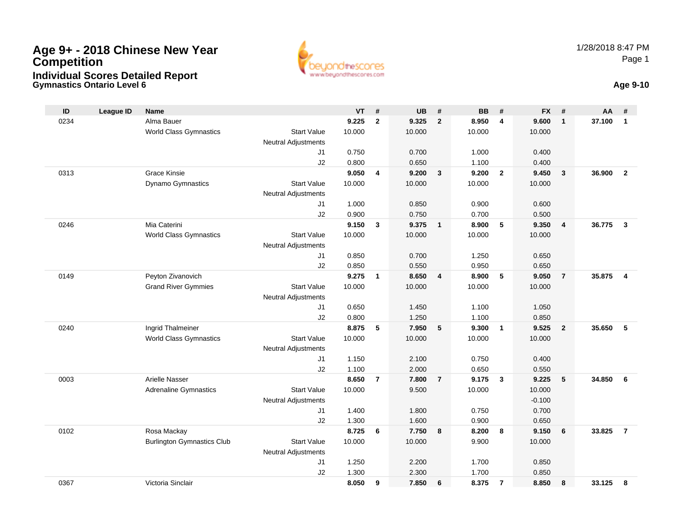

## **Gymnastics Ontario Level 6 Age 9-10**

| ID   | <b>League ID</b> | <b>Name</b>                       |                            | <b>VT</b>      | #              | <b>UB</b>      | #               | <b>BB</b>      | #              | <b>FX</b>      | #                       | AA     | #                       |
|------|------------------|-----------------------------------|----------------------------|----------------|----------------|----------------|-----------------|----------------|----------------|----------------|-------------------------|--------|-------------------------|
| 0234 |                  | Alma Bauer                        |                            | 9.225          | $\mathbf{2}$   | 9.325          | $\overline{2}$  | 8.950          | 4              | 9.600          | $\mathbf{1}$            | 37.100 | $\mathbf{1}$            |
|      |                  | <b>World Class Gymnastics</b>     | <b>Start Value</b>         | 10.000         |                | 10.000         |                 | 10.000         |                | 10.000         |                         |        |                         |
|      |                  |                                   | Neutral Adjustments        |                |                |                |                 |                |                |                |                         |        |                         |
|      |                  |                                   | J1                         | 0.750          |                | 0.700          |                 | 1.000          |                | 0.400          |                         |        |                         |
|      |                  |                                   | J2                         | 0.800          |                | 0.650          |                 | 1.100          |                | 0.400          |                         |        |                         |
| 0313 |                  | <b>Grace Kinsie</b>               |                            | 9.050          | 4              | 9.200          | $\mathbf{3}$    | 9.200          | $\overline{2}$ | 9.450          | $\overline{\mathbf{3}}$ | 36.900 | $\overline{2}$          |
|      |                  | Dynamo Gymnastics                 | <b>Start Value</b>         | 10.000         |                | 10.000         |                 | 10.000         |                | 10.000         |                         |        |                         |
|      |                  |                                   | Neutral Adjustments        |                |                |                |                 |                |                |                |                         |        |                         |
|      |                  |                                   | J1                         | 1.000          |                | 0.850          |                 | 0.900          |                | 0.600          |                         |        |                         |
|      |                  |                                   | J2                         | 0.900          |                | 0.750          |                 | 0.700          |                | 0.500          |                         |        |                         |
| 0246 |                  | Mia Caterini                      |                            | 9.150          | $\mathbf{3}$   | 9.375          | $\overline{1}$  | 8.900          | 5              | 9.350          | $\overline{4}$          | 36.775 | $\mathbf{3}$            |
|      |                  | <b>World Class Gymnastics</b>     | <b>Start Value</b>         | 10.000         |                | 10.000         |                 | 10.000         |                | 10.000         |                         |        |                         |
|      |                  |                                   | Neutral Adjustments        |                |                |                |                 |                |                |                |                         |        |                         |
|      |                  |                                   | J1<br>J2                   | 0.850<br>0.850 |                | 0.700<br>0.550 |                 | 1.250<br>0.950 |                | 0.650<br>0.650 |                         |        |                         |
| 0149 |                  | Peyton Zivanovich                 |                            | 9.275          | $\mathbf{1}$   | 8.650          | $\overline{4}$  | 8.900          | 5              | 9.050          | $\overline{7}$          | 35.875 | $\overline{\mathbf{4}}$ |
|      |                  | <b>Grand River Gymmies</b>        | <b>Start Value</b>         | 10.000         |                | 10.000         |                 | 10.000         |                | 10.000         |                         |        |                         |
|      |                  |                                   | Neutral Adjustments        |                |                |                |                 |                |                |                |                         |        |                         |
|      |                  |                                   | J1                         | 0.650          |                | 1.450          |                 | 1.100          |                | 1.050          |                         |        |                         |
|      |                  |                                   | J2                         | 0.800          |                | 1.250          |                 | 1.100          |                | 0.850          |                         |        |                         |
| 0240 |                  | Ingrid Thalmeiner                 |                            | 8.875          | 5              | 7.950          | $5\phantom{.0}$ | 9.300          | $\mathbf{1}$   | 9.525          | $\overline{2}$          | 35.650 | 5                       |
|      |                  | <b>World Class Gymnastics</b>     | <b>Start Value</b>         | 10.000         |                | 10.000         |                 | 10.000         |                | 10.000         |                         |        |                         |
|      |                  |                                   | <b>Neutral Adjustments</b> |                |                |                |                 |                |                |                |                         |        |                         |
|      |                  |                                   | J <sub>1</sub>             | 1.150          |                | 2.100          |                 | 0.750          |                | 0.400          |                         |        |                         |
|      |                  |                                   | J2                         | 1.100          |                | 2.000          |                 | 0.650          |                | 0.550          |                         |        |                         |
| 0003 |                  | <b>Arielle Nasser</b>             |                            | 8.650          | $\overline{7}$ | 7.800          | $\overline{7}$  | 9.175          | $\mathbf{3}$   | 9.225          | 5                       | 34.850 | 6                       |
|      |                  | <b>Adrenaline Gymnastics</b>      | <b>Start Value</b>         | 10.000         |                | 9.500          |                 | 10.000         |                | 10.000         |                         |        |                         |
|      |                  |                                   | Neutral Adjustments        |                |                |                |                 |                |                | $-0.100$       |                         |        |                         |
|      |                  |                                   | J <sub>1</sub>             | 1.400          |                | 1.800          |                 | 0.750          |                | 0.700          |                         |        |                         |
|      |                  |                                   | J2                         | 1.300          |                | 1.600          |                 | 0.900          |                | 0.650          |                         |        |                         |
| 0102 |                  | Rosa Mackay                       |                            | 8.725          | 6              | 7.750          | 8               | 8.200          | 8              | 9.150          | 6                       | 33.825 | $\overline{7}$          |
|      |                  | <b>Burlington Gymnastics Club</b> | <b>Start Value</b>         | 10.000         |                | 10.000         |                 | 9.900          |                | 10.000         |                         |        |                         |
|      |                  |                                   | Neutral Adjustments        |                |                |                |                 |                |                |                |                         |        |                         |
|      |                  |                                   | J1                         | 1.250          |                | 2.200          |                 | 1.700          |                | 0.850          |                         |        |                         |
|      |                  |                                   | J2                         | 1.300          |                | 2.300          |                 | 1.700          |                | 0.850          |                         |        |                         |
| 0367 |                  | Victoria Sinclair                 |                            | 8.050          | 9              | 7.850          | 6               | 8.375          | $\overline{7}$ | 8.850          | 8                       | 33.125 | 8                       |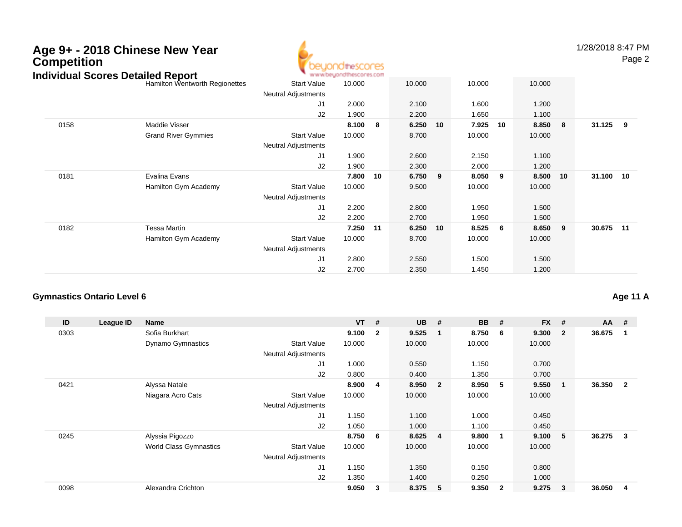

1/28/2018 8:47 PM

Page 2

| ndividual Scores Detalled Report |                                |                            | . M.M.M.OB/TOUGHBROOLBZ.COM |    |        |    |        |    |        |    |            |  |
|----------------------------------|--------------------------------|----------------------------|-----------------------------|----|--------|----|--------|----|--------|----|------------|--|
|                                  | Hamilton Wentworth Regionettes | <b>Start Value</b>         | 10.000                      |    | 10.000 |    | 10.000 |    | 10.000 |    |            |  |
|                                  |                                | <b>Neutral Adjustments</b> |                             |    |        |    |        |    |        |    |            |  |
|                                  |                                | J <sub>1</sub>             | 2.000                       |    | 2.100  |    | 1.600  |    | 1.200  |    |            |  |
|                                  |                                | J2                         | 1.900                       |    | 2.200  |    | 1.650  |    | 1.100  |    |            |  |
| 0158                             | Maddie Visser                  |                            | 8.100                       | 8  | 6.250  | 10 | 7.925  | 10 | 8.850  | 8  | $31.125$ 9 |  |
|                                  | <b>Grand River Gymmies</b>     | <b>Start Value</b>         | 10.000                      |    | 8.700  |    | 10.000 |    | 10.000 |    |            |  |
|                                  |                                | <b>Neutral Adjustments</b> |                             |    |        |    |        |    |        |    |            |  |
|                                  |                                | J <sub>1</sub>             | 1.900                       |    | 2.600  |    | 2.150  |    | 1.100  |    |            |  |
|                                  |                                | J2                         | 1.900                       |    | 2.300  |    | 2.000  |    | 1.200  |    |            |  |
| 0181                             | Evalina Evans                  |                            | 7.800                       | 10 | 6.750  | 9  | 8.050  | 9  | 8.500  | 10 | 31.100 10  |  |
|                                  | Hamilton Gym Academy           | <b>Start Value</b>         | 10.000                      |    | 9.500  |    | 10.000 |    | 10.000 |    |            |  |
|                                  |                                | <b>Neutral Adjustments</b> |                             |    |        |    |        |    |        |    |            |  |
|                                  |                                | J <sub>1</sub>             | 2.200                       |    | 2.800  |    | 1.950  |    | 1.500  |    |            |  |
|                                  |                                | J <sub>2</sub>             | 2.200                       |    | 2.700  |    | 1.950  |    | 1.500  |    |            |  |
| 0182                             | Tessa Martin                   |                            | 7.250                       | 11 | 6.250  | 10 | 8.525  | 6  | 8.650  | 9  | 30.675 11  |  |
|                                  | Hamilton Gym Academy           | <b>Start Value</b>         | 10.000                      |    | 8.700  |    | 10.000 |    | 10.000 |    |            |  |
|                                  |                                | <b>Neutral Adjustments</b> |                             |    |        |    |        |    |        |    |            |  |
|                                  |                                | J1                         | 2.800                       |    | 2.550  |    | 1.500  |    | 1.500  |    |            |  |
|                                  |                                | J2                         | 2.700                       |    | 2.350  |    | 1.450  |    | 1.200  |    |            |  |

#### **Gymnastics Ontario Level 6Age 11 A**

| ID   | League ID | <b>Name</b>                   |                            | $VT$ # |                         | <b>UB</b> | #                       | <b>BB</b> | #              | <b>FX</b> | #              | $AA$ # |                |
|------|-----------|-------------------------------|----------------------------|--------|-------------------------|-----------|-------------------------|-----------|----------------|-----------|----------------|--------|----------------|
| 0303 |           | Sofia Burkhart                |                            | 9.100  | $\overline{\mathbf{2}}$ | 9.525     | - 1                     | 8.750     | -6             | 9.300     | $\overline{2}$ | 36.675 |                |
|      |           | <b>Dynamo Gymnastics</b>      | <b>Start Value</b>         | 10.000 |                         | 10.000    |                         | 10.000    |                | 10.000    |                |        |                |
|      |           |                               | <b>Neutral Adjustments</b> |        |                         |           |                         |           |                |           |                |        |                |
|      |           |                               | J1                         | 1.000  |                         | 0.550     |                         | 1.150     |                | 0.700     |                |        |                |
|      |           |                               | J2                         | 0.800  |                         | 0.400     |                         | 1.350     |                | 0.700     |                |        |                |
| 0421 |           | Alyssa Natale                 |                            | 8.900  | 4                       | 8.950     | $\overline{\mathbf{2}}$ | 8.950     | 5              | 9.550     |                | 36.350 | $\overline{2}$ |
|      |           | Niagara Acro Cats             | <b>Start Value</b>         | 10.000 |                         | 10.000    |                         | 10.000    |                | 10.000    |                |        |                |
|      |           |                               | <b>Neutral Adjustments</b> |        |                         |           |                         |           |                |           |                |        |                |
|      |           |                               | J1                         | 1.150  |                         | 1.100     |                         | 1.000     |                | 0.450     |                |        |                |
|      |           |                               | J2                         | 1.050  |                         | 1.000     |                         | 1.100     |                | 0.450     |                |        |                |
| 0245 |           | Alyssia Pigozzo               |                            | 8.750  | - 6                     | 8.625     | $\overline{4}$          | 9.800     | $\mathbf 1$    | 9.100     | 5              | 36.275 | 3              |
|      |           | <b>World Class Gymnastics</b> | <b>Start Value</b>         | 10.000 |                         | 10.000    |                         | 10.000    |                | 10.000    |                |        |                |
|      |           |                               | <b>Neutral Adjustments</b> |        |                         |           |                         |           |                |           |                |        |                |
|      |           |                               | J <sub>1</sub>             | 1.150  |                         | 1.350     |                         | 0.150     |                | 0.800     |                |        |                |
|      |           |                               | J2                         | 1.350  |                         | 1.400     |                         | 0.250     |                | 1.000     |                |        |                |
| 0098 |           | Alexandra Crichton            |                            | 9.050  | 3                       | 8.375     | -5                      | 9.350     | $\overline{2}$ | 9.275     | 3              | 36.050 | 4              |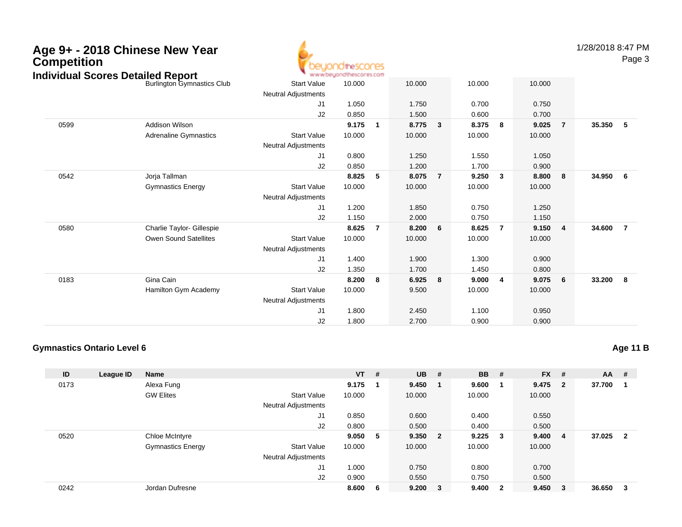

1/28/2018 8:47 PM

Page 3

| 10.000<br>0.750         |                                                                                                                                                                             |
|-------------------------|-----------------------------------------------------------------------------------------------------------------------------------------------------------------------------|
|                         |                                                                                                                                                                             |
|                         |                                                                                                                                                                             |
|                         |                                                                                                                                                                             |
|                         |                                                                                                                                                                             |
|                         | 35.350<br>5                                                                                                                                                                 |
|                         |                                                                                                                                                                             |
|                         |                                                                                                                                                                             |
|                         |                                                                                                                                                                             |
|                         |                                                                                                                                                                             |
| - 8                     | 34.950<br>6                                                                                                                                                                 |
|                         |                                                                                                                                                                             |
|                         |                                                                                                                                                                             |
|                         |                                                                                                                                                                             |
|                         |                                                                                                                                                                             |
| $\overline{\mathbf{4}}$ | 34.600<br>$\overline{7}$                                                                                                                                                    |
|                         |                                                                                                                                                                             |
|                         |                                                                                                                                                                             |
|                         |                                                                                                                                                                             |
|                         |                                                                                                                                                                             |
| $6\phantom{.0}6$        | 33.200<br>$_{\rm 8}$                                                                                                                                                        |
|                         |                                                                                                                                                                             |
|                         |                                                                                                                                                                             |
|                         |                                                                                                                                                                             |
|                         |                                                                                                                                                                             |
|                         | 0.700<br>9.025<br>$\overline{7}$<br>10.000<br>1.050<br>0.900<br>8.800<br>10.000<br>1.250<br>1.150<br>9.150<br>10.000<br>0.900<br>0.800<br>9.075<br>10.000<br>0.950<br>0.900 |

### **Gymnastics Ontario Level 6**

**Age 11 B**

| ID   | League ID | Name                     |                            | $VT$ # |   | <b>UB</b> | #      | <b>BB</b> | #                       | $FX$ # |                         | AA     | - #                     |
|------|-----------|--------------------------|----------------------------|--------|---|-----------|--------|-----------|-------------------------|--------|-------------------------|--------|-------------------------|
| 0173 |           | Alexa Fung               |                            | 9.175  | 1 | 9.450     |        | 9.600     |                         | 9.475  | $\overline{\mathbf{2}}$ | 37.700 |                         |
|      |           | <b>GW Elites</b>         | <b>Start Value</b>         | 10.000 |   | 10.000    |        | 10.000    |                         | 10.000 |                         |        |                         |
|      |           |                          | <b>Neutral Adjustments</b> |        |   |           |        |           |                         |        |                         |        |                         |
|      |           |                          | J1                         | 0.850  |   | 0.600     |        | 0.400     |                         | 0.550  |                         |        |                         |
|      |           |                          | J2                         | 0.800  |   | 0.500     |        | 0.400     |                         | 0.500  |                         |        |                         |
| 0520 |           | Chloe McIntyre           |                            | 9.050  | 5 | 9.350 2   |        | 9.225     | $_{3}$                  | 9.400  | $\overline{4}$          | 37.025 | $\overline{\mathbf{2}}$ |
|      |           | <b>Gymnastics Energy</b> | <b>Start Value</b>         | 10.000 |   | 10.000    |        | 10.000    |                         | 10.000 |                         |        |                         |
|      |           |                          | Neutral Adjustments        |        |   |           |        |           |                         |        |                         |        |                         |
|      |           |                          | J1                         | 1.000  |   | 0.750     |        | 0.800     |                         | 0.700  |                         |        |                         |
|      |           |                          | J2                         | 0.900  |   | 0.550     |        | 0.750     |                         | 0.500  |                         |        |                         |
| 0242 |           | Jordan Dufresne          |                            | 8.600  | 6 | 9.200     | $_{3}$ | 9.400     | $\overline{\mathbf{2}}$ | 9.450  | $_{3}$                  | 36.650 | - 3                     |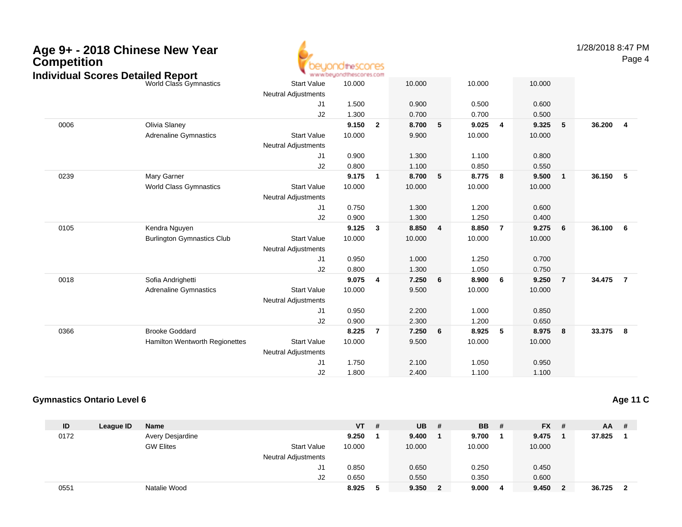| Age 9+ - 2018 Chinese New Year<br><b>Competition</b> |
|------------------------------------------------------|
| Individual Cearge Detailed Denert                    |



1/28/2018 8:47 PM

Page 4

| World Class Gymnastics            | <b>Start Value</b>               | 10.000 |                | 10.000                  |   | 10.000 |                | 10.000 |                |                           |  |
|-----------------------------------|----------------------------------|--------|----------------|-------------------------|---|--------|----------------|--------|----------------|---------------------------|--|
|                                   | <b>Neutral Adjustments</b>       |        |                |                         |   |        |                |        |                |                           |  |
|                                   | J1                               | 1.500  |                | 0.900                   |   | 0.500  |                | 0.600  |                |                           |  |
|                                   | J2                               | 1.300  |                | 0.700                   |   | 0.700  |                | 0.500  |                |                           |  |
| Olivia Slaney                     |                                  | 9.150  | $\overline{2}$ | 8.700                   | 5 | 9.025  | 4              | 9.325  | 5              | 36.200<br>$\overline{4}$  |  |
| <b>Adrenaline Gymnastics</b>      | <b>Start Value</b>               | 10.000 |                | 9.900                   |   | 10.000 |                | 10.000 |                |                           |  |
|                                   | <b>Neutral Adjustments</b>       |        |                |                         |   |        |                |        |                |                           |  |
|                                   | J1                               | 0.900  |                | 1.300                   |   | 1.100  |                | 0.800  |                |                           |  |
|                                   | J2                               | 0.800  |                | 1.100                   |   | 0.850  |                | 0.550  |                |                           |  |
| Mary Garner                       |                                  | 9.175  | $\overline{1}$ | 8.700                   | 5 | 8.775  | 8              | 9.500  | $\mathbf{1}$   | 36.150<br>$-5$            |  |
| <b>World Class Gymnastics</b>     | <b>Start Value</b>               | 10.000 |                | 10.000                  |   | 10.000 |                | 10.000 |                |                           |  |
|                                   | <b>Neutral Adjustments</b>       |        |                |                         |   |        |                |        |                |                           |  |
|                                   | J1                               | 0.750  |                | 1.300                   |   | 1.200  |                | 0.600  |                |                           |  |
|                                   | J2                               | 0.900  |                | 1.300                   |   | 1.250  |                | 0.400  |                |                           |  |
| Kendra Nguyen                     |                                  | 9.125  | $\mathbf{3}$   | 8.850                   | 4 | 8.850  | $\overline{7}$ | 9.275  | 6              | 36.100<br>$6\overline{6}$ |  |
| <b>Burlington Gymnastics Club</b> | <b>Start Value</b>               | 10.000 |                | 10.000                  |   | 10.000 |                | 10.000 |                |                           |  |
|                                   | <b>Neutral Adjustments</b>       |        |                |                         |   |        |                |        |                |                           |  |
|                                   | J1                               | 0.950  |                | 1.000                   |   | 1.250  |                | 0.700  |                |                           |  |
|                                   | J2                               | 0.800  |                | 1.300                   |   | 1.050  |                | 0.750  |                |                           |  |
| Sofia Andrighetti                 |                                  | 9.075  | $\overline{4}$ | 7.250                   | 6 | 8.900  | 6              | 9.250  | $\overline{7}$ | 34.475<br>$\overline{7}$  |  |
| <b>Adrenaline Gymnastics</b>      | <b>Start Value</b>               | 10.000 |                | 9.500                   |   | 10.000 |                | 10.000 |                |                           |  |
|                                   | <b>Neutral Adjustments</b>       |        |                |                         |   |        |                |        |                |                           |  |
|                                   | J1                               | 0.950  |                | 2.200                   |   | 1.000  |                | 0.850  |                |                           |  |
|                                   | J2                               | 0.900  |                | 2.300                   |   | 1.200  |                | 0.650  |                |                           |  |
| <b>Brooke Goddard</b>             |                                  | 8.225  | 7              | 7.250                   | 6 | 8.925  | 5              | 8.975  | 8              | 33.375 8                  |  |
| Hamilton Wentworth Regionettes    | <b>Start Value</b>               | 10.000 |                | 9.500                   |   | 10.000 |                | 10.000 |                |                           |  |
|                                   | <b>Neutral Adjustments</b>       |        |                |                         |   |        |                |        |                |                           |  |
|                                   | J1                               | 1.750  |                | 2.100                   |   | 1.050  |                | 0.950  |                |                           |  |
|                                   | J2                               | 1.800  |                | 2.400                   |   | 1.100  |                | 1.100  |                |                           |  |
|                                   | ndividual Scores Detailed Report |        |                | www.beyondthescores.com |   |        |                |        |                |                           |  |

### **Gymnastics Ontario Level 6**

**Age 11 C**

| ID   | League ID | <b>Name</b>      |                            | <b>VT</b> | # | <b>UB</b> | # | <b>BB</b> | # | $FX$ # |   | $AA$ # |                         |
|------|-----------|------------------|----------------------------|-----------|---|-----------|---|-----------|---|--------|---|--------|-------------------------|
| 0172 |           | Avery Desjardine |                            | 9.250     |   | 9.400     |   | 9.700     |   | 9.475  |   | 37.825 |                         |
|      |           | <b>GW Elites</b> | <b>Start Value</b>         | 10.000    |   | 10.000    |   | 10.000    |   | 10.000 |   |        |                         |
|      |           |                  | <b>Neutral Adjustments</b> |           |   |           |   |           |   |        |   |        |                         |
|      |           |                  | J1                         | 0.850     |   | 0.650     |   | 0.250     |   | 0.450  |   |        |                         |
|      |           |                  | J2                         | 0.650     |   | 0.550     |   | 0.350     |   | 0.600  |   |        |                         |
| 0551 |           | Natalie Wood     |                            | 8.925     | Ð | 9.350     |   | 9.000     | 4 | 9.450  | 2 | 36.725 | $\overline{\mathbf{2}}$ |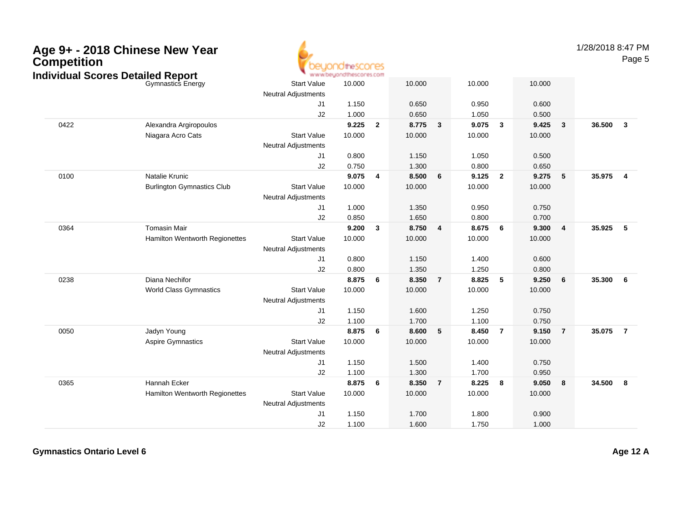| <b>Competition</b> | Age 9+ - 2018 Chinese New Year                                       |                            | jondthescores                     |                |        |                         |        |                |        |                         | 1/28/2018 8:47 PM | Page 5         |
|--------------------|----------------------------------------------------------------------|----------------------------|-----------------------------------|----------------|--------|-------------------------|--------|----------------|--------|-------------------------|-------------------|----------------|
|                    | <b>Individual Scores Detailed Report</b><br><b>Gymnastics Energy</b> | <b>Start Value</b>         | www.beyondthescores.com<br>10.000 |                | 10.000 |                         | 10.000 |                | 10.000 |                         |                   |                |
|                    |                                                                      | <b>Neutral Adjustments</b> |                                   |                |        |                         |        |                |        |                         |                   |                |
|                    |                                                                      | J1                         | 1.150                             |                | 0.650  |                         | 0.950  |                | 0.600  |                         |                   |                |
|                    |                                                                      | J2                         | 1.000                             |                | 0.650  |                         | 1.050  |                | 0.500  |                         |                   |                |
| 0422               | Alexandra Argiropoulos                                               |                            | 9.225                             | $\overline{2}$ | 8.775  | $\overline{\mathbf{3}}$ | 9.075  | $\mathbf{3}$   | 9.425  | $\overline{\mathbf{3}}$ | 36.500            | $\overline{3}$ |
|                    | Niagara Acro Cats                                                    | <b>Start Value</b>         | 10.000                            |                | 10.000 |                         | 10.000 |                | 10.000 |                         |                   |                |
|                    |                                                                      | <b>Neutral Adjustments</b> |                                   |                |        |                         |        |                |        |                         |                   |                |
|                    |                                                                      | J1                         | 0.800                             |                | 1.150  |                         | 1.050  |                | 0.500  |                         |                   |                |
|                    |                                                                      | J2                         | 0.750                             |                | 1.300  |                         | 0.800  |                | 0.650  |                         |                   |                |
| 0100               | Natalie Krunic                                                       |                            | 9.075                             | $\overline{4}$ | 8.500  | 6                       | 9.125  | $\overline{2}$ | 9.275  | 5                       | 35.975            | $\overline{4}$ |
|                    | <b>Burlington Gymnastics Club</b>                                    | <b>Start Value</b>         | 10.000                            |                | 10.000 |                         | 10.000 |                | 10.000 |                         |                   |                |
|                    |                                                                      | Neutral Adjustments        |                                   |                |        |                         |        |                |        |                         |                   |                |
|                    |                                                                      | J1                         | 1.000                             |                | 1.350  |                         | 0.950  |                | 0.750  |                         |                   |                |
|                    |                                                                      | J2                         | 0.850                             |                | 1.650  |                         | 0.800  |                | 0.700  |                         |                   |                |
| 0364               | <b>Tomasin Mair</b>                                                  |                            | 9.200                             | $\mathbf{3}$   | 8.750  | 4                       | 8.675  | 6              | 9.300  | 4                       | 35.925            | 5              |
|                    | Hamilton Wentworth Regionettes                                       | <b>Start Value</b>         | 10.000                            |                | 10.000 |                         | 10.000 |                | 10.000 |                         |                   |                |
|                    |                                                                      | Neutral Adjustments        |                                   |                |        |                         |        |                |        |                         |                   |                |
|                    |                                                                      | J1                         | 0.800                             |                | 1.150  |                         | 1.400  |                | 0.600  |                         |                   |                |
|                    |                                                                      | J2                         | 0.800                             |                | 1.350  |                         | 1.250  |                | 0.800  |                         |                   |                |
| 0238               | Diana Nechifor                                                       |                            | 8.875                             | 6              | 8.350  | $\overline{7}$          | 8.825  | 5              | 9.250  | 6                       | 35.300            | 6              |
|                    | World Class Gymnastics                                               | <b>Start Value</b>         | 10.000                            |                | 10.000 |                         | 10.000 |                | 10.000 |                         |                   |                |
|                    |                                                                      | <b>Neutral Adjustments</b> |                                   |                |        |                         |        |                |        |                         |                   |                |
|                    |                                                                      | J1                         | 1.150                             |                | 1.600  |                         | 1.250  |                | 0.750  |                         |                   |                |
|                    |                                                                      | J2                         | 1.100                             |                | 1.700  |                         | 1.100  |                | 0.750  |                         |                   |                |
| 0050               | Jadyn Young                                                          |                            | 8.875                             | - 6            | 8.600  | 5                       | 8.450  | $\overline{7}$ | 9.150  | $\overline{7}$          | 35.075            | $\overline{7}$ |
|                    | <b>Aspire Gymnastics</b>                                             | <b>Start Value</b>         | 10.000                            |                | 10.000 |                         | 10.000 |                | 10.000 |                         |                   |                |
|                    |                                                                      | <b>Neutral Adjustments</b> |                                   |                |        |                         |        |                |        |                         |                   |                |
|                    |                                                                      | J1                         | 1.150                             |                | 1.500  |                         | 1.400  |                | 0.750  |                         |                   |                |
|                    |                                                                      | J2                         | 1.100                             |                | 1.300  |                         | 1.700  |                | 0.950  |                         |                   |                |
| 0365               | Hannah Ecker                                                         |                            | 8.875                             | 6              | 8.350  | $\overline{7}$          | 8.225  | 8              | 9.050  | 8                       | 34.500            | 8              |
|                    | Hamilton Wentworth Regionettes                                       | <b>Start Value</b>         | 10.000                            |                | 10.000 |                         | 10.000 |                | 10.000 |                         |                   |                |
|                    |                                                                      | <b>Neutral Adjustments</b> |                                   |                |        |                         |        |                |        |                         |                   |                |
|                    |                                                                      | J1                         | 1.150                             |                | 1.700  |                         | 1.800  |                | 0.900  |                         |                   |                |
|                    |                                                                      | J2                         | 1.100                             |                | 1.600  |                         | 1.750  |                | 1.000  |                         |                   |                |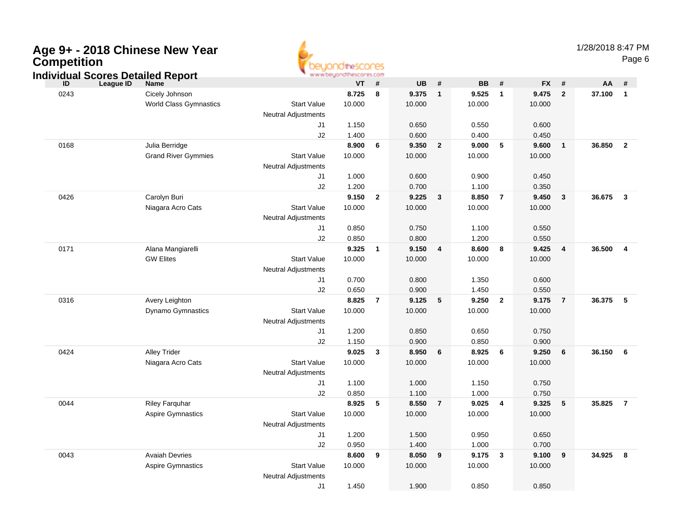| Age 9+ - 2018 Chinese New Year<br><b>Competition</b><br><b>Individual Scores Detailed Report</b> |                               |                            | euondthescores<br>www.beyondthescores.com |                |                |                         |                |                         |                |                | 1/28/2018 8:47 PM | Page 6                  |
|--------------------------------------------------------------------------------------------------|-------------------------------|----------------------------|-------------------------------------------|----------------|----------------|-------------------------|----------------|-------------------------|----------------|----------------|-------------------|-------------------------|
| ID<br><b>League ID</b>                                                                           | <b>Name</b>                   |                            | <b>VT</b>                                 | #              | <b>UB</b>      | #                       | <b>BB</b>      | #                       | <b>FX</b>      | #              | AA                | #                       |
| 0243                                                                                             | Cicely Johnson                |                            | 8.725                                     | 8              | 9.375          | $\mathbf{1}$            | 9.525          | $\mathbf{1}$            | 9.475          | $\mathbf{2}$   | 37.100            | $\overline{1}$          |
|                                                                                                  | <b>World Class Gymnastics</b> | <b>Start Value</b>         | 10.000                                    |                | 10.000         |                         | 10.000         |                         | 10.000         |                |                   |                         |
|                                                                                                  |                               | <b>Neutral Adjustments</b> |                                           |                |                |                         |                |                         |                |                |                   |                         |
|                                                                                                  |                               | J1                         | 1.150                                     |                | 0.650          |                         | 0.550          |                         | 0.600          |                |                   |                         |
|                                                                                                  |                               | J2                         | 1.400                                     |                | 0.600          |                         | 0.400          |                         | 0.450          |                |                   |                         |
| 0168                                                                                             | Julia Berridge                |                            | 8.900                                     | 6              | 9.350          | $\overline{2}$          | 9.000          | 5                       | 9.600          | $\mathbf{1}$   | 36.850            | $\overline{\mathbf{2}}$ |
|                                                                                                  | <b>Grand River Gymmies</b>    | <b>Start Value</b>         | 10.000                                    |                | 10.000         |                         | 10.000         |                         | 10.000         |                |                   |                         |
|                                                                                                  |                               | <b>Neutral Adjustments</b> |                                           |                |                |                         |                |                         |                |                |                   |                         |
|                                                                                                  |                               | J1                         | 1.000                                     |                | 0.600          |                         | 0.900          |                         | 0.450          |                |                   |                         |
|                                                                                                  |                               | J2                         | 1.200                                     |                | 0.700          |                         | 1.100          |                         | 0.350          |                |                   |                         |
| 0426                                                                                             | Carolyn Buri                  |                            | 9.150                                     | $\mathbf{2}$   | 9.225          | $\mathbf{3}$            | 8.850          | $\overline{7}$          | 9.450          | $\mathbf{3}$   | 36.675            | $\overline{\mathbf{3}}$ |
|                                                                                                  | Niagara Acro Cats             | <b>Start Value</b>         | 10.000                                    |                | 10.000         |                         | 10.000         |                         | 10.000         |                |                   |                         |
|                                                                                                  |                               | <b>Neutral Adjustments</b> |                                           |                |                |                         |                |                         |                |                |                   |                         |
|                                                                                                  |                               | J1                         | 0.850                                     |                | 0.750          |                         | 1.100          |                         | 0.550          |                |                   |                         |
|                                                                                                  |                               | J2                         | 0.850                                     |                | 0.800          |                         | 1.200          |                         | 0.550          |                |                   |                         |
| 0171                                                                                             | Alana Mangiarelli             |                            | 9.325                                     | $\overline{1}$ | 9.150          | $\overline{\mathbf{4}}$ | 8.600          | 8                       | 9.425          | $\overline{4}$ | 36.500            | $\overline{4}$          |
|                                                                                                  | <b>GW Elites</b>              | <b>Start Value</b>         | 10.000                                    |                | 10.000         |                         | 10.000         |                         | 10.000         |                |                   |                         |
|                                                                                                  |                               | <b>Neutral Adjustments</b> |                                           |                |                |                         |                |                         |                |                |                   |                         |
|                                                                                                  |                               | J1                         | 0.700                                     |                | 0.800          |                         | 1.350          |                         | 0.600          |                |                   |                         |
| 0316                                                                                             | Avery Leighton                | J2                         | 0.650<br>8.825                            | $\overline{7}$ | 0.900<br>9.125 | 5                       | 1.450<br>9.250 | $\overline{2}$          | 0.550<br>9.175 | $\overline{7}$ | 36.375            | $-5$                    |
|                                                                                                  | Dynamo Gymnastics             | <b>Start Value</b>         | 10.000                                    |                | 10.000         |                         | 10.000         |                         | 10.000         |                |                   |                         |
|                                                                                                  |                               | <b>Neutral Adjustments</b> |                                           |                |                |                         |                |                         |                |                |                   |                         |
|                                                                                                  |                               | J1                         | 1.200                                     |                | 0.850          |                         | 0.650          |                         | 0.750          |                |                   |                         |
|                                                                                                  |                               | J2                         | 1.150                                     |                | 0.900          |                         | 0.850          |                         | 0.900          |                |                   |                         |
| 0424                                                                                             | <b>Alley Trider</b>           |                            | 9.025                                     | $\mathbf{3}$   | 8.950          | 6                       | 8.925          | 6                       | 9.250          | 6              | 36.150            | 6                       |
|                                                                                                  | Niagara Acro Cats             | <b>Start Value</b>         | 10.000                                    |                | 10.000         |                         | 10.000         |                         | 10.000         |                |                   |                         |
|                                                                                                  |                               | <b>Neutral Adjustments</b> |                                           |                |                |                         |                |                         |                |                |                   |                         |
|                                                                                                  |                               | J1                         | 1.100                                     |                | 1.000          |                         | 1.150          |                         | 0.750          |                |                   |                         |
|                                                                                                  |                               | J2                         | 0.850                                     |                | 1.100          |                         | 1.000          |                         | 0.750          |                |                   |                         |
| 0044                                                                                             | <b>Riley Farquhar</b>         |                            | 8.925                                     | 5              | 8.550          | $\overline{7}$          | 9.025          | $\overline{\mathbf{4}}$ | 9.325          | 5              | 35.825            | $\overline{7}$          |
|                                                                                                  | Aspire Gymnastics             | <b>Start Value</b>         | 10.000                                    |                | 10.000         |                         | 10.000         |                         | 10.000         |                |                   |                         |
|                                                                                                  |                               | Neutral Adjustments        |                                           |                |                |                         |                |                         |                |                |                   |                         |

J1

J2

J1

Start Value

Neutral Adjustments

Avaiah Devries **8.600 <sup>9</sup> 8.050 <sup>9</sup> 9.175 <sup>3</sup> 9.100 <sup>9</sup> 34.925 <sup>8</sup>**

0043

Aspire Gymnastics

1.200 1.500 0.950 0.650

0.950 1.400 1.000 0.700

e 10.000 10.000 10.000 10.000

1.450 1.900 0.850 0.850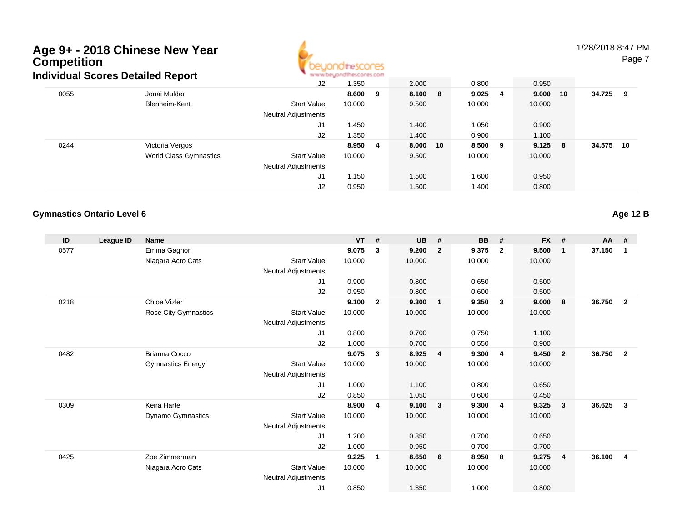

1/28/2018 8:47 PM

Page 7

|      | dividual Scores Detailed Report |                     | ALAI AI DID'IDI IDI HAYOR ILY DILI |    |          |                 |          |        |     |
|------|---------------------------------|---------------------|------------------------------------|----|----------|-----------------|----------|--------|-----|
|      |                                 | J2                  | 1.350                              |    | 2.000    | 0.800           | 0.950    |        |     |
| 0055 | Jonai Mulder                    |                     | 8.600                              | 9  | 8.100 8  | $9.025 \quad 4$ | 9.000 10 | 34.725 | - 9 |
|      | Blenheim-Kent                   | <b>Start Value</b>  | 10.000                             |    | 9.500    | 10.000          | 10.000   |        |     |
|      |                                 | Neutral Adjustments |                                    |    |          |                 |          |        |     |
|      |                                 | J1                  | 1.450                              |    | 1.400    | 1.050           | 0.900    |        |     |
|      |                                 | J2                  | 1.350                              |    | 1.400    | 0.900           | 1.100    |        |     |
| 0244 | Victoria Vergos                 |                     | 8.950                              | -4 | 8.000 10 | 8.500 9         | 9.125 8  | 34.575 | 10  |
|      | World Class Gymnastics          | <b>Start Value</b>  | 10.000                             |    | 9.500    | 10.000          | 10.000   |        |     |
|      |                                 | Neutral Adjustments |                                    |    |          |                 |          |        |     |
|      |                                 | J1                  | 1.150                              |    | 1.500    | 1.600           | 0.950    |        |     |
|      |                                 | J2                  | 0.950                              |    | 1.500    | 1.400           | 0.800    |        |     |

### **Gymnastics Ontario Level 6**

**Age 12 B**

| ID   | League ID | <b>Name</b>              |                            | <b>VT</b> | #              | <b>UB</b> | #                       | <b>BB</b> | #                       | <b>FX</b> | #            | $AA$ # |                |
|------|-----------|--------------------------|----------------------------|-----------|----------------|-----------|-------------------------|-----------|-------------------------|-----------|--------------|--------|----------------|
| 0577 |           | Emma Gagnon              |                            | 9.075     | 3              | 9.200     | $\overline{2}$          | 9.375     | $\overline{\mathbf{2}}$ | 9.500     | $\mathbf{1}$ | 37.150 | 1              |
|      |           | Niagara Acro Cats        | <b>Start Value</b>         | 10.000    |                | 10.000    |                         | 10.000    |                         | 10.000    |              |        |                |
|      |           |                          | Neutral Adjustments        |           |                |           |                         |           |                         |           |              |        |                |
|      |           |                          | J <sub>1</sub>             | 0.900     |                | 0.800     |                         | 0.650     |                         | 0.500     |              |        |                |
|      |           |                          | J2                         | 0.950     |                | 0.800     |                         | 0.600     |                         | 0.500     |              |        |                |
| 0218 |           | <b>Chloe Vizler</b>      |                            | 9.100     | $\overline{2}$ | 9.300     | $\blacksquare$          | 9.350     | 3                       | 9.000     | 8            | 36.750 | $\overline{2}$ |
|      |           | Rose City Gymnastics     | <b>Start Value</b>         | 10.000    |                | 10.000    |                         | 10.000    |                         | 10.000    |              |        |                |
|      |           |                          | Neutral Adjustments        |           |                |           |                         |           |                         |           |              |        |                |
|      |           |                          | J1                         | 0.800     |                | 0.700     |                         | 0.750     |                         | 1.100     |              |        |                |
|      |           |                          | J2                         | 1.000     |                | 0.700     |                         | 0.550     |                         | 0.900     |              |        |                |
| 0482 |           | <b>Brianna Cocco</b>     |                            | 9.075     | 3              | 8.925     | $\overline{4}$          | 9.300     | $\overline{4}$          | 9.450     | $\mathbf{2}$ | 36.750 | $\overline{2}$ |
|      |           | <b>Gymnastics Energy</b> | <b>Start Value</b>         | 10.000    |                | 10.000    |                         | 10.000    |                         | 10.000    |              |        |                |
|      |           |                          | Neutral Adjustments        |           |                |           |                         |           |                         |           |              |        |                |
|      |           |                          | J1                         | 1.000     |                | 1.100     |                         | 0.800     |                         | 0.650     |              |        |                |
|      |           |                          | J2                         | 0.850     |                | 1.050     |                         | 0.600     |                         | 0.450     |              |        |                |
| 0309 |           | Keira Harte              |                            | 8.900     | 4              | 9.100     | $\overline{\mathbf{3}}$ | 9.300     | -4                      | 9.325     | 3            | 36.625 | $\mathbf{3}$   |
|      |           | Dynamo Gymnastics        | <b>Start Value</b>         | 10.000    |                | 10.000    |                         | 10.000    |                         | 10.000    |              |        |                |
|      |           |                          | Neutral Adjustments        |           |                |           |                         |           |                         |           |              |        |                |
|      |           |                          | J1                         | 1.200     |                | 0.850     |                         | 0.700     |                         | 0.650     |              |        |                |
|      |           |                          | J2                         | 1.000     |                | 0.950     |                         | 0.700     |                         | 0.700     |              |        |                |
| 0425 |           | Zoe Zimmerman            |                            | 9.225     | 1              | 8.650     | 6                       | 8.950     | 8                       | 9.275     | 4            | 36.100 | $\overline{4}$ |
|      |           | Niagara Acro Cats        | <b>Start Value</b>         | 10.000    |                | 10.000    |                         | 10.000    |                         | 10.000    |              |        |                |
|      |           |                          | <b>Neutral Adjustments</b> |           |                |           |                         |           |                         |           |              |        |                |
|      |           |                          | J <sub>1</sub>             | 0.850     |                | 1.350     |                         | 1.000     |                         | 0.800     |              |        |                |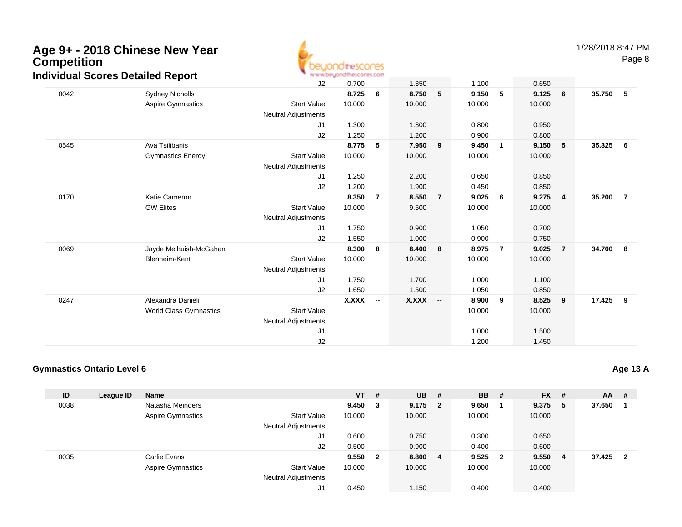

Page 8

|      | <b>naividual Scores Detailed Report</b> |                            | www.ob/foundation.com |                          |              |                          |        |                |        |                         |        |                |
|------|-----------------------------------------|----------------------------|-----------------------|--------------------------|--------------|--------------------------|--------|----------------|--------|-------------------------|--------|----------------|
|      |                                         | J2                         | 0.700                 |                          | 1.350        |                          | 1.100  |                | 0.650  |                         |        |                |
| 0042 | Sydney Nicholls                         |                            | 8.725                 | 6                        | 8.750        | 5                        | 9.150  | 5              | 9.125  | 6                       | 35.750 | 5              |
|      | <b>Aspire Gymnastics</b>                | <b>Start Value</b>         | 10.000                |                          | 10.000       |                          | 10.000 |                | 10.000 |                         |        |                |
|      |                                         | <b>Neutral Adjustments</b> |                       |                          |              |                          |        |                |        |                         |        |                |
|      |                                         | J1                         | 1.300                 |                          | 1.300        |                          | 0.800  |                | 0.950  |                         |        |                |
|      |                                         | J2                         | 1.250                 |                          | 1.200        |                          | 0.900  |                | 0.800  |                         |        |                |
| 0545 | Ava Tsilibanis                          |                            | 8.775                 | 5                        | 7.950        | 9                        | 9.450  | 1              | 9.150  | $-5$                    | 35.325 | 6              |
|      | <b>Gymnastics Energy</b>                | <b>Start Value</b>         | 10.000                |                          | 10.000       |                          | 10.000 |                | 10.000 |                         |        |                |
|      |                                         | <b>Neutral Adjustments</b> |                       |                          |              |                          |        |                |        |                         |        |                |
|      |                                         | J1                         | 1.250                 |                          | 2.200        |                          | 0.650  |                | 0.850  |                         |        |                |
|      |                                         | J2                         | 1.200                 |                          | 1.900        |                          | 0.450  |                | 0.850  |                         |        |                |
| 0170 | Katie Cameron                           |                            | 8.350                 | $\overline{7}$           | 8.550        | 7                        | 9.025  | 6              | 9.275  | $\overline{\mathbf{4}}$ | 35.200 | $\overline{7}$ |
|      | <b>GW Elites</b>                        | <b>Start Value</b>         | 10.000                |                          | 9.500        |                          | 10.000 |                | 10.000 |                         |        |                |
|      |                                         | <b>Neutral Adjustments</b> |                       |                          |              |                          |        |                |        |                         |        |                |
|      |                                         | J1                         | 1.750                 |                          | 0.900        |                          | 1.050  |                | 0.700  |                         |        |                |
|      |                                         | J2                         | 1.550                 |                          | 1.000        |                          | 0.900  |                | 0.750  |                         |        |                |
| 0069 | Jayde Melhuish-McGahan                  |                            | 8.300                 | 8                        | 8.400        | 8                        | 8.975  | $\overline{7}$ | 9.025  | $\overline{7}$          | 34.700 | 8              |
|      | Blenheim-Kent                           | <b>Start Value</b>         | 10.000                |                          | 10.000       |                          | 10.000 |                | 10.000 |                         |        |                |
|      |                                         | Neutral Adjustments        |                       |                          |              |                          |        |                |        |                         |        |                |
|      |                                         | J1                         | 1.750                 |                          | 1.700        |                          | 1.000  |                | 1.100  |                         |        |                |
|      |                                         | J2                         | 1.650                 |                          | 1.500        |                          | 1.050  |                | 0.850  |                         |        |                |
| 0247 | Alexandra Danieli                       |                            | <b>X.XXX</b>          | $\overline{\phantom{a}}$ | <b>X.XXX</b> | $\overline{\phantom{a}}$ | 8.900  | 9              | 8.525  | 9                       | 17.425 | 9              |
|      | <b>World Class Gymnastics</b>           | <b>Start Value</b>         |                       |                          |              |                          | 10.000 |                | 10.000 |                         |        |                |
|      |                                         | Neutral Adjustments        |                       |                          |              |                          |        |                |        |                         |        |                |
|      |                                         | J1                         |                       |                          |              |                          | 1.000  |                | 1.500  |                         |        |                |
|      |                                         | J2                         |                       |                          |              |                          | 1.200  |                | 1.450  |                         |        |                |

### **Gymnastics Ontario Level 6**

| ID   | League ID | <b>Name</b>              |                            | $VT$ # |              | $UB$ #    |   | <b>BB</b> | - # | <b>FX</b> | #   | <b>AA</b> | -# |
|------|-----------|--------------------------|----------------------------|--------|--------------|-----------|---|-----------|-----|-----------|-----|-----------|----|
| 0038 |           | Natasha Meinders         |                            | 9.450  | 3            | $9.175$ 2 |   | 9.650     |     | 9.375     | -5  | 37.650    |    |
|      |           | Aspire Gymnastics        | <b>Start Value</b>         | 10.000 |              | 10.000    |   | 10.000    |     | 10.000    |     |           |    |
|      |           |                          | Neutral Adjustments        |        |              |           |   |           |     |           |     |           |    |
|      |           |                          | J1                         | 0.600  |              | 0.750     |   | 0.300     |     | 0.650     |     |           |    |
|      |           |                          | J2                         | 0.500  |              | 0.900     |   | 0.400     |     | 0.600     |     |           |    |
| 0035 |           | Carlie Evans             |                            | 9.550  | $\mathbf{2}$ | 8.800     | 4 | $9.525$ 2 |     | 9.550     | - 4 | 37.425    | -2 |
|      |           | <b>Aspire Gymnastics</b> | <b>Start Value</b>         | 10.000 |              | 10.000    |   | 10.000    |     | 10.000    |     |           |    |
|      |           |                          | <b>Neutral Adjustments</b> |        |              |           |   |           |     |           |     |           |    |
|      |           |                          | J1                         | 0.450  |              | 1.150     |   | 0.400     |     | 0.400     |     |           |    |

**Age 13 A**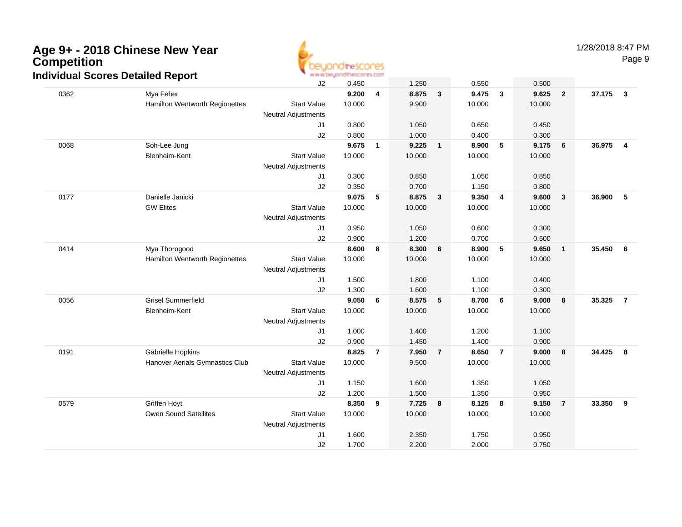

1/28/2018 8:47 PM

Page 9

|      | arriadar Oboros Dolanca Report  | J2                         | 0.450  |                | 1.250  |                | 0.550  |                | 0.500  |                         |          |                |
|------|---------------------------------|----------------------------|--------|----------------|--------|----------------|--------|----------------|--------|-------------------------|----------|----------------|
| 0362 | Mya Feher                       |                            | 9.200  | 4              | 8.875  | $\mathbf{3}$   | 9.475  | $\mathbf{3}$   | 9.625  | $\overline{\mathbf{2}}$ | 37.175 3 |                |
|      | Hamilton Wentworth Regionettes  | <b>Start Value</b>         | 10.000 |                | 9.900  |                | 10.000 |                | 10.000 |                         |          |                |
|      |                                 | <b>Neutral Adjustments</b> |        |                |        |                |        |                |        |                         |          |                |
|      |                                 | J1                         | 0.800  |                | 1.050  |                | 0.650  |                | 0.450  |                         |          |                |
|      |                                 | J2                         | 0.800  |                | 1.000  |                | 0.400  |                | 0.300  |                         |          |                |
| 0068 | Soh-Lee Jung                    |                            | 9.675  | $\mathbf{1}$   | 9.225  | $\mathbf{1}$   | 8.900  | 5              | 9.175  | $6\phantom{1}6$         | 36.975   | $\overline{4}$ |
|      | Blenheim-Kent                   | <b>Start Value</b>         | 10.000 |                | 10.000 |                | 10.000 |                | 10.000 |                         |          |                |
|      |                                 | <b>Neutral Adjustments</b> |        |                |        |                |        |                |        |                         |          |                |
|      |                                 | J <sub>1</sub>             | 0.300  |                | 0.850  |                | 1.050  |                | 0.850  |                         |          |                |
|      |                                 | J2                         | 0.350  |                | 0.700  |                | 1.150  |                | 0.800  |                         |          |                |
| 0177 | Danielle Janicki                |                            | 9.075  | 5              | 8.875  | 3              | 9.350  | 4              | 9.600  | $\overline{\mathbf{3}}$ | 36.900   | 5              |
|      | <b>GW Elites</b>                | <b>Start Value</b>         | 10.000 |                | 10.000 |                | 10.000 |                | 10.000 |                         |          |                |
|      |                                 | <b>Neutral Adjustments</b> |        |                |        |                |        |                |        |                         |          |                |
|      |                                 | J <sub>1</sub>             | 0.950  |                | 1.050  |                | 0.600  |                | 0.300  |                         |          |                |
|      |                                 | J2                         | 0.900  |                | 1.200  |                | 0.700  |                | 0.500  |                         |          |                |
| 0414 | Mya Thorogood                   |                            | 8.600  | 8              | 8.300  | 6              | 8.900  | 5              | 9.650  | $\overline{\mathbf{1}}$ | 35.450   | 6              |
|      | Hamilton Wentworth Regionettes  | <b>Start Value</b>         | 10.000 |                | 10.000 |                | 10.000 |                | 10.000 |                         |          |                |
|      |                                 | <b>Neutral Adjustments</b> |        |                |        |                |        |                |        |                         |          |                |
|      |                                 | J <sub>1</sub>             | 1.500  |                | 1.800  |                | 1.100  |                | 0.400  |                         |          |                |
|      |                                 | J2                         | 1.300  |                | 1.600  |                | 1.100  |                | 0.300  |                         |          |                |
| 0056 | <b>Grisel Summerfield</b>       |                            | 9.050  | 6              | 8.575  | 5              | 8.700  | 6              | 9.000  | $\boldsymbol{8}$        | 35.325   | $\overline{7}$ |
|      | Blenheim-Kent                   | <b>Start Value</b>         | 10.000 |                | 10.000 |                | 10.000 |                | 10.000 |                         |          |                |
|      |                                 | <b>Neutral Adjustments</b> |        |                |        |                |        |                |        |                         |          |                |
|      |                                 | J1                         | 1.000  |                | 1.400  |                | 1.200  |                | 1.100  |                         |          |                |
|      |                                 | J2                         | 0.900  |                | 1.450  |                | 1.400  |                | 0.900  |                         |          |                |
| 0191 | Gabrielle Hopkins               |                            | 8.825  | $\overline{7}$ | 7.950  | $\overline{7}$ | 8.650  | $\overline{7}$ | 9.000  | $\overline{\mathbf{8}}$ | 34.425   | 8              |
|      | Hanover Aerials Gymnastics Club | <b>Start Value</b>         | 10.000 |                | 9.500  |                | 10.000 |                | 10.000 |                         |          |                |
|      |                                 | <b>Neutral Adjustments</b> |        |                |        |                |        |                |        |                         |          |                |
|      |                                 | J <sub>1</sub>             | 1.150  |                | 1.600  |                | 1.350  |                | 1.050  |                         |          |                |
|      |                                 | J2                         | 1.200  |                | 1.500  |                | 1.350  |                | 0.950  |                         |          |                |
| 0579 | Griffen Hoyt                    |                            | 8.350  | 9              | 7.725  | 8              | 8.125  | 8              | 9.150  | $\overline{7}$          | 33.350   | 9              |
|      | <b>Owen Sound Satellites</b>    | <b>Start Value</b>         | 10.000 |                | 10.000 |                | 10.000 |                | 10.000 |                         |          |                |
|      |                                 | <b>Neutral Adjustments</b> |        |                |        |                |        |                |        |                         |          |                |
|      |                                 | J1                         | 1.600  |                | 2.350  |                | 1.750  |                | 0.950  |                         |          |                |
|      |                                 | J2                         | 1.700  |                | 2.200  |                | 2.000  |                | 0.750  |                         |          |                |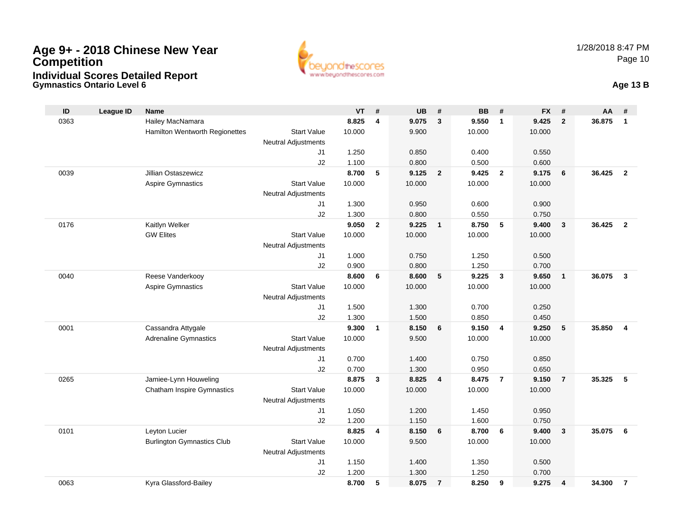

**Gymnastics Ontario Level 6 Age 13 B**

| ID   | <b>League ID</b> | <b>Name</b>                           |                            | <b>VT</b>      | #            | <b>UB</b>      | #                       | <b>BB</b>      | #              | <b>FX</b>      | #              | AA     | #              |
|------|------------------|---------------------------------------|----------------------------|----------------|--------------|----------------|-------------------------|----------------|----------------|----------------|----------------|--------|----------------|
| 0363 |                  | Hailey MacNamara                      |                            | 8.825          | 4            | 9.075          | $\mathbf{3}$            | 9.550          | $\overline{1}$ | 9.425          | $\overline{2}$ | 36.875 | $\mathbf{1}$   |
|      |                  | <b>Hamilton Wentworth Regionettes</b> | <b>Start Value</b>         | 10.000         |              | 9.900          |                         | 10.000         |                | 10.000         |                |        |                |
|      |                  |                                       | <b>Neutral Adjustments</b> |                |              |                |                         |                |                |                |                |        |                |
|      |                  |                                       | J <sub>1</sub>             | 1.250          |              | 0.850          |                         | 0.400          |                | 0.550          |                |        |                |
|      |                  |                                       | J2                         | 1.100          |              | 0.800          |                         | 0.500          |                | 0.600          |                |        |                |
| 0039 |                  | Jillian Ostaszewicz                   |                            | 8.700          | 5            | 9.125          | $\overline{\mathbf{2}}$ | 9.425          | $\overline{2}$ | 9.175          | 6              | 36.425 | $\overline{2}$ |
|      |                  | <b>Aspire Gymnastics</b>              | <b>Start Value</b>         | 10.000         |              | 10.000         |                         | 10.000         |                | 10.000         |                |        |                |
|      |                  |                                       | <b>Neutral Adjustments</b> |                |              |                |                         |                |                |                |                |        |                |
|      |                  |                                       | J1                         | 1.300          |              | 0.950          |                         | 0.600          |                | 0.900          |                |        |                |
|      |                  |                                       | J2                         | 1.300          |              | 0.800          |                         | 0.550          |                | 0.750          |                |        |                |
| 0176 |                  | Kaitlyn Welker                        |                            | 9.050          | $\mathbf{2}$ | 9.225          | $\overline{\mathbf{1}}$ | 8.750          | 5              | 9.400          | $\mathbf{3}$   | 36.425 | $\overline{2}$ |
|      |                  | <b>GW Elites</b>                      | <b>Start Value</b>         | 10.000         |              | 10.000         |                         | 10.000         |                | 10.000         |                |        |                |
|      |                  |                                       | <b>Neutral Adjustments</b> |                |              |                |                         |                |                |                |                |        |                |
|      |                  |                                       | J1                         | 1.000          |              | 0.750          |                         | 1.250          |                | 0.500          |                |        |                |
| 0040 |                  | Reese Vanderkooy                      | J2                         | 0.900<br>8.600 |              | 0.800<br>8.600 |                         | 1.250<br>9.225 | $\mathbf{3}$   | 0.700<br>9.650 |                | 36.075 | $\mathbf{3}$   |
|      |                  | <b>Aspire Gymnastics</b>              | <b>Start Value</b>         | 10.000         | 6            | 10.000         | 5                       | 10.000         |                | 10.000         | $\mathbf{1}$   |        |                |
|      |                  |                                       | <b>Neutral Adjustments</b> |                |              |                |                         |                |                |                |                |        |                |
|      |                  |                                       | J1                         | 1.500          |              | 1.300          |                         | 0.700          |                | 0.250          |                |        |                |
|      |                  |                                       | J2                         | 1.300          |              | 1.500          |                         | 0.850          |                | 0.450          |                |        |                |
| 0001 |                  | Cassandra Attygale                    |                            | 9.300          | $\mathbf{1}$ | 8.150          | 6                       | 9.150          | $\overline{4}$ | 9.250          | 5              | 35.850 | 4              |
|      |                  | <b>Adrenaline Gymnastics</b>          | <b>Start Value</b>         | 10.000         |              | 9.500          |                         | 10.000         |                | 10.000         |                |        |                |
|      |                  |                                       | <b>Neutral Adjustments</b> |                |              |                |                         |                |                |                |                |        |                |
|      |                  |                                       | J <sub>1</sub>             | 0.700          |              | 1.400          |                         | 0.750          |                | 0.850          |                |        |                |
|      |                  |                                       | J2                         | 0.700          |              | 1.300          |                         | 0.950          |                | 0.650          |                |        |                |
| 0265 |                  | Jamiee-Lynn Houweling                 |                            | 8.875          | 3            | 8.825          | 4                       | 8.475          | $\overline{7}$ | 9.150          | $\overline{7}$ | 35.325 | 5              |
|      |                  | <b>Chatham Inspire Gymnastics</b>     | <b>Start Value</b>         | 10.000         |              | 10.000         |                         | 10.000         |                | 10.000         |                |        |                |
|      |                  |                                       | <b>Neutral Adjustments</b> |                |              |                |                         |                |                |                |                |        |                |
|      |                  |                                       | J1                         | 1.050          |              | 1.200          |                         | 1.450          |                | 0.950          |                |        |                |
|      |                  |                                       | J2                         | 1.200          |              | 1.150          |                         | 1.600          |                | 0.750          |                |        |                |
| 0101 |                  | Leyton Lucier                         |                            | 8.825          | 4            | 8.150          | 6                       | 8.700          | 6              | 9.400          | $\mathbf{3}$   | 35.075 | 6              |
|      |                  | <b>Burlington Gymnastics Club</b>     | <b>Start Value</b>         | 10.000         |              | 9.500          |                         | 10.000         |                | 10.000         |                |        |                |
|      |                  |                                       | Neutral Adjustments        |                |              |                |                         |                |                |                |                |        |                |
|      |                  |                                       | J1                         | 1.150          |              | 1.400          |                         | 1.350          |                | 0.500          |                |        |                |
|      |                  |                                       | J2                         | 1.200          |              | 1.300          |                         | 1.250          |                | 0.700          |                |        |                |
| 0063 |                  | Kyra Glassford-Bailey                 |                            | 8.700          | 5            | 8.075          | $\overline{7}$          | 8.250          | 9              | 9.275          | 4              | 34.300 | $\overline{7}$ |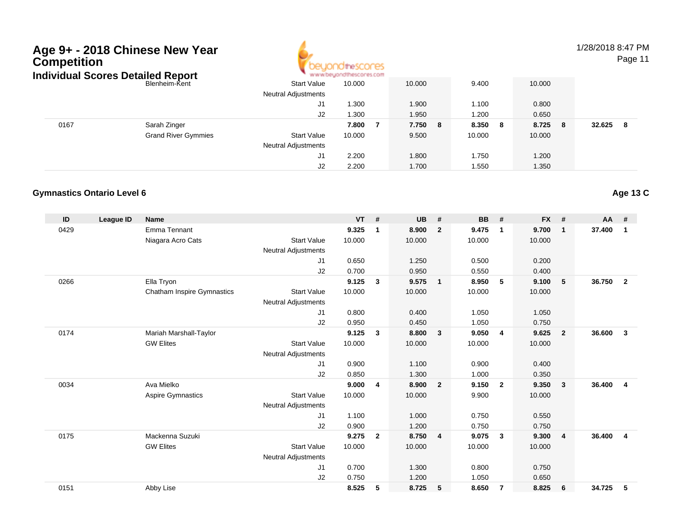

1/28/2018 8:47 PM

Page 11

| ndividual Scores Detailed Report |                            |                            | www.beyondthescores.com |         |            |         |              |
|----------------------------------|----------------------------|----------------------------|-------------------------|---------|------------|---------|--------------|
|                                  | Blenheim-Kent              | <b>Start Value</b>         | 10.000                  | 10.000  | 9.400      | 10.000  |              |
|                                  |                            | <b>Neutral Adjustments</b> |                         |         |            |         |              |
|                                  |                            | J1                         | 1.300                   | 1.900   | 1.100      | 0.800   |              |
|                                  |                            | J2                         | 1.300                   | 1.950   | 1.200      | 0.650   |              |
| 0167                             | Sarah Zinger               |                            | 7.800                   | 7.750 8 | 8.350<br>8 | 8.725 8 | 32.625<br>-8 |
|                                  | <b>Grand River Gymmies</b> | <b>Start Value</b>         | 10.000                  | 9.500   | 10.000     | 10.000  |              |
|                                  |                            | <b>Neutral Adjustments</b> |                         |         |            |         |              |
|                                  |                            | J1                         | 2.200                   | 1.800   | 1.750      | 1.200   |              |
|                                  |                            | J2                         | 2.200                   | 1.700   | 1.550      | 1.350   |              |

### **Gymnastics Ontario Level 6**

| ID   | <b>League ID</b> | <b>Name</b>                       |                            | <b>VT</b> | #              | <b>UB</b> | #                       | <b>BB</b> | #                       | <b>FX</b> | #              | <b>AA</b> | #              |
|------|------------------|-----------------------------------|----------------------------|-----------|----------------|-----------|-------------------------|-----------|-------------------------|-----------|----------------|-----------|----------------|
| 0429 |                  | <b>Emma Tennant</b>               |                            | 9.325     | $\mathbf 1$    | 8.900     | $\overline{2}$          | 9.475     | $\mathbf 1$             | 9.700     | $\mathbf{1}$   | 37.400    | $\mathbf 1$    |
|      |                  | Niagara Acro Cats                 | <b>Start Value</b>         | 10.000    |                | 10.000    |                         | 10.000    |                         | 10.000    |                |           |                |
|      |                  |                                   | <b>Neutral Adjustments</b> |           |                |           |                         |           |                         |           |                |           |                |
|      |                  |                                   | J1                         | 0.650     |                | 1.250     |                         | 0.500     |                         | 0.200     |                |           |                |
|      |                  |                                   | J2                         | 0.700     |                | 0.950     |                         | 0.550     |                         | 0.400     |                |           |                |
| 0266 |                  | Ella Tryon                        |                            | 9.125     | $\mathbf{3}$   | 9.575     | $\overline{\mathbf{1}}$ | 8.950     | 5                       | 9.100     | 5              | 36.750    | $\overline{2}$ |
|      |                  | <b>Chatham Inspire Gymnastics</b> | <b>Start Value</b>         | 10.000    |                | 10.000    |                         | 10.000    |                         | 10.000    |                |           |                |
|      |                  |                                   | <b>Neutral Adjustments</b> |           |                |           |                         |           |                         |           |                |           |                |
|      |                  |                                   | J <sub>1</sub>             | 0.800     |                | 0.400     |                         | 1.050     |                         | 1.050     |                |           |                |
|      |                  |                                   | J2                         | 0.950     |                | 0.450     |                         | 1.050     |                         | 0.750     |                |           |                |
| 0174 |                  | Mariah Marshall-Taylor            |                            | 9.125     | $\mathbf{3}$   | 8.800     | $\mathbf{3}$            | 9.050     | 4                       | 9.625     | $\overline{2}$ | 36.600    | 3              |
|      |                  | <b>GW Elites</b>                  | <b>Start Value</b>         | 10.000    |                | 10.000    |                         | 10.000    |                         | 10.000    |                |           |                |
|      |                  |                                   | <b>Neutral Adjustments</b> |           |                |           |                         |           |                         |           |                |           |                |
|      |                  |                                   | J <sub>1</sub>             | 0.900     |                | 1.100     |                         | 0.900     |                         | 0.400     |                |           |                |
|      |                  |                                   | J <sub>2</sub>             | 0.850     |                | 1.300     |                         | 1.000     |                         | 0.350     |                |           |                |
| 0034 |                  | Ava Mielko                        |                            | 9.000     | 4              | 8.900     | $\overline{2}$          | 9.150     | $\overline{2}$          | 9.350     | 3              | 36,400    | $\overline{4}$ |
|      |                  | Aspire Gymnastics                 | <b>Start Value</b>         | 10.000    |                | 10.000    |                         | 9.900     |                         | 10.000    |                |           |                |
|      |                  |                                   | <b>Neutral Adjustments</b> |           |                |           |                         |           |                         |           |                |           |                |
|      |                  |                                   | J1                         | 1.100     |                | 1.000     |                         | 0.750     |                         | 0.550     |                |           |                |
|      |                  |                                   | J2                         | 0.900     |                | 1.200     |                         | 0.750     |                         | 0.750     |                |           |                |
| 0175 |                  | Mackenna Suzuki                   |                            | 9.275     | $\overline{2}$ | 8.750     | $\overline{4}$          | 9.075     | $\overline{\mathbf{3}}$ | 9.300     | $\overline{4}$ | 36.400    | $\overline{4}$ |
|      |                  | <b>GW Elites</b>                  | <b>Start Value</b>         | 10.000    |                | 10.000    |                         | 10.000    |                         | 10.000    |                |           |                |
|      |                  |                                   | <b>Neutral Adjustments</b> |           |                |           |                         |           |                         |           |                |           |                |
|      |                  |                                   | J <sub>1</sub>             | 0.700     |                | 1.300     |                         | 0.800     |                         | 0.750     |                |           |                |
|      |                  |                                   | J <sub>2</sub>             | 0.750     |                | 1.200     |                         | 1.050     |                         | 0.650     |                |           |                |
| 0151 |                  | Abby Lise                         |                            | 8.525     | 5              | 8.725     | -5                      | 8.650     | -7                      | 8.825     | 6              | 34.725    | 5              |

**Age 13 C**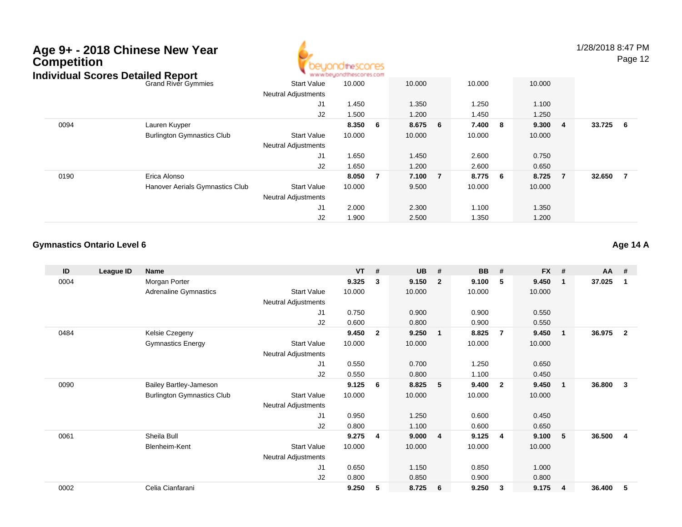

1/28/2018 8:47 PM

Page 12

| idividual Scores Detailed Report |                                   |                            | * www.beyondthescores.com |     |         |   |         |         |          |                |
|----------------------------------|-----------------------------------|----------------------------|---------------------------|-----|---------|---|---------|---------|----------|----------------|
|                                  | <b>Grand River Gymmies</b>        | <b>Start Value</b>         | 10.000                    |     | 10.000  |   | 10.000  | 10.000  |          |                |
|                                  |                                   | <b>Neutral Adjustments</b> |                           |     |         |   |         |         |          |                |
|                                  |                                   | J1                         | 1.450                     |     | 1.350   |   | 1.250   | 1.100   |          |                |
|                                  |                                   | J2                         | 1.500                     |     | 1.200   |   | 1.450   | 1.250   |          |                |
| 0094                             | Lauren Kuyper                     |                            | 8.350                     | - 6 | 8.675 6 |   | 7.400 8 | 9.300 4 | 33.725 6 |                |
|                                  | <b>Burlington Gymnastics Club</b> | <b>Start Value</b>         | 10.000                    |     | 10.000  |   | 10.000  | 10.000  |          |                |
|                                  |                                   | <b>Neutral Adjustments</b> |                           |     |         |   |         |         |          |                |
|                                  |                                   | J1                         | 1.650                     |     | 1.450   |   | 2.600   | 0.750   |          |                |
|                                  |                                   | J2                         | 1.650                     |     | 1.200   |   | 2.600   | 0.650   |          |                |
| 0190                             | Erica Alonso                      |                            | 8.050                     | 7   | 7.100   | 7 | 8.775 6 | 8.725 7 | 32.650   | $\overline{7}$ |
|                                  | Hanover Aerials Gymnastics Club   | <b>Start Value</b>         | 10.000                    |     | 9.500   |   | 10.000  | 10.000  |          |                |
|                                  |                                   | <b>Neutral Adjustments</b> |                           |     |         |   |         |         |          |                |
|                                  |                                   | J <sub>1</sub>             | 2.000                     |     | 2.300   |   | 1.100   | 1.350   |          |                |
|                                  |                                   | J2                         | 1.900                     |     | 2.500   |   | 1.350   | 1.200   |          |                |

### **Gymnastics Ontario Level 6**

| ID   | League ID | Name                              |                            | <b>VT</b> | #              | <b>UB</b> | #                       | <b>BB</b> | #                       | <b>FX</b> | #                       | AA     | #                       |
|------|-----------|-----------------------------------|----------------------------|-----------|----------------|-----------|-------------------------|-----------|-------------------------|-----------|-------------------------|--------|-------------------------|
| 0004 |           | Morgan Porter                     |                            | 9.325     | 3              | 9.150     | $\overline{2}$          | 9.100     | 5                       | 9.450     | $\mathbf 1$             | 37.025 | -1                      |
|      |           | Adrenaline Gymnastics             | <b>Start Value</b>         | 10.000    |                | 10.000    |                         | 10.000    |                         | 10.000    |                         |        |                         |
|      |           |                                   | Neutral Adjustments        |           |                |           |                         |           |                         |           |                         |        |                         |
|      |           |                                   | J1                         | 0.750     |                | 0.900     |                         | 0.900     |                         | 0.550     |                         |        |                         |
|      |           |                                   | J2                         | 0.600     |                | 0.800     |                         | 0.900     |                         | 0.550     |                         |        |                         |
| 0484 |           | Kelsie Czegeny                    |                            | 9.450     | $\overline{2}$ | 9.250     | $\overline{\mathbf{1}}$ | 8.825     | -7                      | 9.450     | $\overline{\mathbf{1}}$ | 36.975 | $\overline{2}$          |
|      |           | <b>Gymnastics Energy</b>          | <b>Start Value</b>         | 10.000    |                | 10.000    |                         | 10.000    |                         | 10.000    |                         |        |                         |
|      |           |                                   | <b>Neutral Adjustments</b> |           |                |           |                         |           |                         |           |                         |        |                         |
|      |           |                                   | J <sub>1</sub>             | 0.550     |                | 0.700     |                         | 1.250     |                         | 0.650     |                         |        |                         |
|      |           |                                   | J2                         | 0.550     |                | 0.800     |                         | 1.100     |                         | 0.450     |                         |        |                         |
| 0090 |           | <b>Bailey Bartley-Jameson</b>     |                            | 9.125     | 6              | 8.825     | 5                       | 9.400     | $\overline{\mathbf{2}}$ | 9.450     | -1                      | 36.800 | 3                       |
|      |           | <b>Burlington Gymnastics Club</b> | <b>Start Value</b>         | 10.000    |                | 10.000    |                         | 10.000    |                         | 10.000    |                         |        |                         |
|      |           |                                   | <b>Neutral Adjustments</b> |           |                |           |                         |           |                         |           |                         |        |                         |
|      |           |                                   | J <sub>1</sub>             | 0.950     |                | 1.250     |                         | 0.600     |                         | 0.450     |                         |        |                         |
|      |           |                                   | J2                         | 0.800     |                | 1.100     |                         | 0.600     |                         | 0.650     |                         |        |                         |
| 0061 |           | Sheila Bull                       |                            | 9.275     | 4              | 9.000     | 4                       | 9.125     | 4                       | 9.100     | 5                       | 36.500 | $\overline{\mathbf{4}}$ |
|      |           | Blenheim-Kent                     | <b>Start Value</b>         | 10.000    |                | 10.000    |                         | 10.000    |                         | 10.000    |                         |        |                         |
|      |           |                                   | <b>Neutral Adjustments</b> |           |                |           |                         |           |                         |           |                         |        |                         |
|      |           |                                   | J1                         | 0.650     |                | 1.150     |                         | 0.850     |                         | 1.000     |                         |        |                         |
|      |           |                                   | J2                         | 0.800     |                | 0.850     |                         | 0.900     |                         | 0.800     |                         |        |                         |
| 0002 |           | Celia Cianfarani                  |                            | 9.250     | 5              | 8.725     | - 6                     | 9.250     | 3                       | 9.175     | 4                       | 36.400 | 5                       |

**Age 14 A**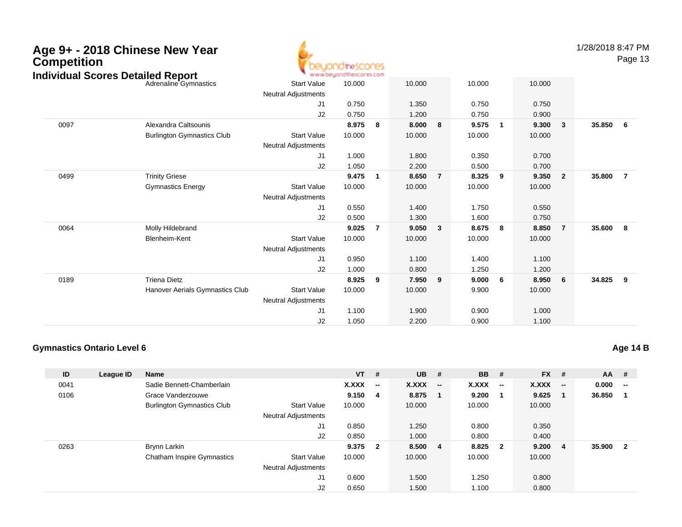| <b>Competition</b><br><b>Individual Scores Detailed Report</b> | Age 9+ - 2018 Chinese New Year    |                            | beyondthescores<br>www.beuondthescores.com |                |        |                |        |                         |        |                | 1/28/2018 8:47 PM | Page 13        |
|----------------------------------------------------------------|-----------------------------------|----------------------------|--------------------------------------------|----------------|--------|----------------|--------|-------------------------|--------|----------------|-------------------|----------------|
|                                                                | Adrenaline Gymnastics             | <b>Start Value</b>         | 10.000                                     |                | 10.000 |                | 10.000 |                         | 10.000 |                |                   |                |
|                                                                |                                   | <b>Neutral Adjustments</b> |                                            |                |        |                |        |                         |        |                |                   |                |
|                                                                |                                   | J <sub>1</sub>             | 0.750                                      |                | 1.350  |                | 0.750  |                         | 0.750  |                |                   |                |
|                                                                |                                   | J2                         | 0.750                                      |                | 1.200  |                | 0.750  |                         | 0.900  |                |                   |                |
| 0097                                                           | Alexandra Caltsounis              |                            | 8.975                                      | - 8            | 8.000  | 8              | 9.575  | $\overline{\mathbf{1}}$ | 9.300  | $\mathbf{3}$   | 35.850            | - 6            |
|                                                                | <b>Burlington Gymnastics Club</b> | <b>Start Value</b>         | 10.000                                     |                | 10.000 |                | 10.000 |                         | 10.000 |                |                   |                |
|                                                                |                                   | <b>Neutral Adjustments</b> |                                            |                |        |                |        |                         |        |                |                   |                |
|                                                                |                                   | J <sub>1</sub>             | 1.000                                      |                | 1.800  |                | 0.350  |                         | 0.700  |                |                   |                |
|                                                                |                                   | J2                         | 1.050                                      |                | 2.200  |                | 0.500  |                         | 0.700  |                |                   |                |
| 0499                                                           | <b>Trinity Griese</b>             |                            | 9.475                                      | $\overline{1}$ | 8.650  | $\overline{7}$ | 8.325  | - 9                     | 9.350  | $\overline{2}$ | 35.800            | $\overline{7}$ |
|                                                                | <b>Gymnastics Energy</b>          | <b>Start Value</b>         | 10.000                                     |                | 10.000 |                | 10.000 |                         | 10.000 |                |                   |                |
|                                                                |                                   | <b>Neutral Adjustments</b> |                                            |                |        |                |        |                         |        |                |                   |                |
|                                                                |                                   | J <sub>1</sub>             | 0.550                                      |                | 1.400  |                | 1.750  |                         | 0.550  |                |                   |                |
|                                                                |                                   | J2                         | 0.500                                      |                | 1.300  |                | 1.600  |                         | 0.750  |                |                   |                |
| 0064                                                           | Molly Hildebrand                  |                            | 9.025                                      | $\overline{7}$ | 9.050  | 3              | 8.675  | 8                       | 8.850  | $\overline{7}$ | 35.600            | 8              |
|                                                                | Blenheim-Kent                     | <b>Start Value</b>         | 10.000                                     |                | 10.000 |                | 10.000 |                         | 10.000 |                |                   |                |
|                                                                |                                   | <b>Neutral Adjustments</b> |                                            |                |        |                |        |                         |        |                |                   |                |
|                                                                |                                   | J <sub>1</sub>             | 0.950                                      |                | 1.100  |                | 1.400  |                         | 1.100  |                |                   |                |
|                                                                |                                   | J2                         | 1.000                                      |                | 0.800  |                | 1.250  |                         | 1.200  |                |                   |                |
| 0189                                                           | <b>Triena Dietz</b>               |                            | 8.925                                      | 9              | 7.950  | 9              | 9.000  | - 6                     | 8.950  | 6              | 34.825            | 9              |
|                                                                | Hanover Aerials Gymnastics Club   | <b>Start Value</b>         | 10.000                                     |                | 10.000 |                | 9.900  |                         | 10.000 |                |                   |                |
|                                                                |                                   | <b>Neutral Adjustments</b> |                                            |                |        |                |        |                         |        |                |                   |                |
|                                                                |                                   | J <sub>1</sub>             | 1.100                                      |                | 1.900  |                | 0.900  |                         | 1.000  |                |                   |                |
|                                                                |                                   | J2                         | 1.050                                      |                | 2.200  |                | 0.900  |                         | 1.100  |                |                   |                |

### **Gymnastics Ontario Level 6**

| ID   | League ID | Name                              |                            | <b>VT</b> | #                        | <b>UB</b> | #                                              | <b>BB</b> | #                        | <b>FX</b> | #                        | <b>AA</b> | #                        |
|------|-----------|-----------------------------------|----------------------------|-----------|--------------------------|-----------|------------------------------------------------|-----------|--------------------------|-----------|--------------------------|-----------|--------------------------|
|      |           |                                   |                            |           |                          |           |                                                |           |                          |           |                          |           |                          |
| 0041 |           | Sadie Bennett-Chamberlain         |                            | X.XXX     | $\overline{\phantom{a}}$ | X.XXX     | $\hspace{0.1mm}-\hspace{0.1mm}-\hspace{0.1mm}$ | X.XXX     | $\overline{\phantom{a}}$ | X.XXX     | $\overline{\phantom{a}}$ | 0.000     | $\overline{\phantom{a}}$ |
| 0106 |           | Grace Vanderzouwe                 |                            | 9.150     | - 4                      | 8.875     | - 1                                            | 9.200     |                          | 9.625     | -1                       | 36.850    |                          |
|      |           | <b>Burlington Gymnastics Club</b> | <b>Start Value</b>         | 10.000    |                          | 10.000    |                                                | 10.000    |                          | 10.000    |                          |           |                          |
|      |           |                                   | <b>Neutral Adjustments</b> |           |                          |           |                                                |           |                          |           |                          |           |                          |
|      |           |                                   | J1                         | 0.850     |                          | 1.250     |                                                | 0.800     |                          | 0.350     |                          |           |                          |
|      |           |                                   | J2                         | 0.850     |                          | 1.000     |                                                | 0.800     |                          | 0.400     |                          |           |                          |
| 0263 |           | Brynn Larkin                      |                            | 9.375     | $\overline{\mathbf{2}}$  | 8.500     | $\overline{4}$                                 | 8.825     | $\overline{\mathbf{2}}$  | 9.200     | -4                       | 35.900    | $\overline{\mathbf{2}}$  |
|      |           | <b>Chatham Inspire Gymnastics</b> | <b>Start Value</b>         | 10.000    |                          | 10.000    |                                                | 10.000    |                          | 10.000    |                          |           |                          |
|      |           |                                   | <b>Neutral Adjustments</b> |           |                          |           |                                                |           |                          |           |                          |           |                          |
|      |           |                                   | J1                         | 0.600     |                          | 1.500     |                                                | 1.250     |                          | 0.800     |                          |           |                          |
|      |           |                                   | J2                         | 0.650     |                          | 1.500     |                                                | 1.100     |                          | 0.800     |                          |           |                          |

**Age 14 B**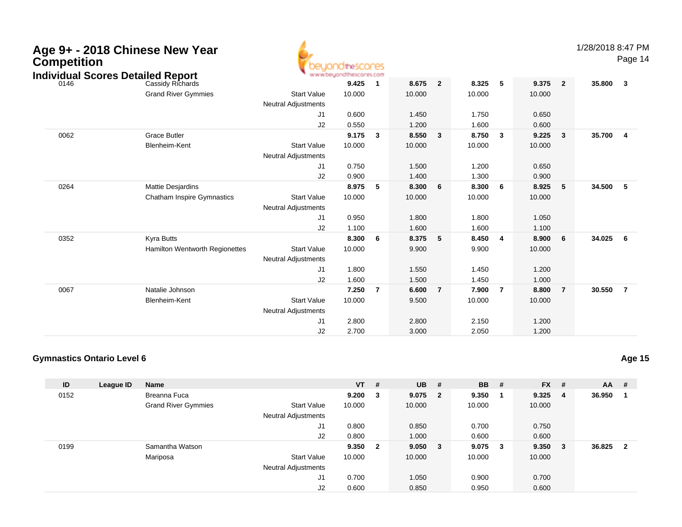| Age 9+ - 2018 Chinese New Year<br><b>Competition</b><br><b>Individual Scores Detailed Report</b> |                                   |                                                  | euondthescores<br>www.beyondthescores.com |                |        |                |        |                |        |                | 1/28/2018 8:47 | Page           |
|--------------------------------------------------------------------------------------------------|-----------------------------------|--------------------------------------------------|-------------------------------------------|----------------|--------|----------------|--------|----------------|--------|----------------|----------------|----------------|
| 0146                                                                                             | Cassidy Richards                  |                                                  | 9.425                                     | $\mathbf{1}$   | 8.675  | $\overline{2}$ | 8.325  | 5              | 9.375  | $\overline{2}$ | 35.800         | $\overline{3}$ |
|                                                                                                  | <b>Grand River Gymmies</b>        | <b>Start Value</b><br><b>Neutral Adjustments</b> | 10.000                                    |                | 10.000 |                | 10.000 |                | 10.000 |                |                |                |
|                                                                                                  |                                   | J <sub>1</sub>                                   | 0.600                                     |                | 1.450  |                | 1.750  |                | 0.650  |                |                |                |
|                                                                                                  |                                   | J2                                               | 0.550                                     |                | 1.200  |                | 1.600  |                | 0.600  |                |                |                |
| 0062                                                                                             | <b>Grace Butler</b>               |                                                  | 9.175                                     | -3             | 8.550  | 3              | 8.750  | 3              | 9.225  | 3              | 35.700         | $\overline{4}$ |
|                                                                                                  | Blenheim-Kent                     | <b>Start Value</b><br><b>Neutral Adjustments</b> | 10.000                                    |                | 10.000 |                | 10.000 |                | 10.000 |                |                |                |
|                                                                                                  |                                   | J <sub>1</sub>                                   | 0.750                                     |                | 1.500  |                | 1.200  |                | 0.650  |                |                |                |
|                                                                                                  |                                   | J2                                               | 0.900                                     |                | 1.400  |                | 1.300  |                | 0.900  |                |                |                |
| 0264                                                                                             | Mattie Desjardins                 |                                                  | 8.975                                     | 5              | 8.300  | 6              | 8.300  | 6              | 8.925  | 5              | 34.500         | 5              |
|                                                                                                  | <b>Chatham Inspire Gymnastics</b> | <b>Start Value</b>                               | 10.000                                    |                | 10.000 |                | 10.000 |                | 10.000 |                |                |                |
|                                                                                                  |                                   | <b>Neutral Adjustments</b>                       |                                           |                |        |                |        |                |        |                |                |                |
|                                                                                                  |                                   | J <sub>1</sub>                                   | 0.950                                     |                | 1.800  |                | 1.800  |                | 1.050  |                |                |                |
|                                                                                                  |                                   | J2                                               | 1.100                                     |                | 1.600  |                | 1.600  |                | 1.100  |                |                |                |
| 0352                                                                                             | <b>Kyra Butts</b>                 |                                                  | 8.300                                     | 6              | 8.375  | 5              | 8.450  | 4              | 8.900  | 6              | 34.025         | 6              |
|                                                                                                  | Hamilton Wentworth Regionettes    | <b>Start Value</b>                               | 10.000                                    |                | 9.900  |                | 9.900  |                | 10.000 |                |                |                |
|                                                                                                  |                                   | <b>Neutral Adjustments</b>                       |                                           |                |        |                |        |                |        |                |                |                |
|                                                                                                  |                                   | J <sub>1</sub>                                   | 1.800                                     |                | 1.550  |                | 1.450  |                | 1.200  |                |                |                |
|                                                                                                  |                                   | J <sub>2</sub>                                   | 1.600                                     |                | 1.500  |                | 1.450  |                | 1.000  |                |                |                |
| 0067                                                                                             | Natalie Johnson                   |                                                  | 7.250                                     | $\overline{7}$ | 6.600  | $\overline{7}$ | 7.900  | $\overline{7}$ | 8.800  | $\overline{7}$ | 30.550         | $\overline{7}$ |
|                                                                                                  | Blenheim-Kent                     | <b>Start Value</b>                               | 10.000                                    |                | 9.500  |                | 10.000 |                | 10.000 |                |                |                |
|                                                                                                  |                                   | <b>Neutral Adjustments</b>                       |                                           |                |        |                |        |                |        |                |                |                |
|                                                                                                  |                                   | J <sub>1</sub>                                   | 2.800                                     |                | 2.800  |                | 2.150  |                | 1.200  |                |                |                |
|                                                                                                  |                                   | J2                                               | 2.700                                     |                | 3.000  |                | 2.050  |                | 1.200  |                |                |                |

### **Gymnastics Ontario Level 6**

| ID   | League ID | Name                       |                            | $VT$ # |                | $UB$ #    |              | <b>BB</b> | - # | <b>FX</b> | #              | $AA$ # |              |
|------|-----------|----------------------------|----------------------------|--------|----------------|-----------|--------------|-----------|-----|-----------|----------------|--------|--------------|
| 0152 |           | Breanna Fuca               |                            | 9.200  | 3              | $9.075$ 2 |              | 9.350     |     | 9.325     | $\overline{4}$ | 36.950 |              |
|      |           | <b>Grand River Gymmies</b> | <b>Start Value</b>         | 10.000 |                | 10.000    |              | 10.000    |     | 10.000    |                |        |              |
|      |           |                            | <b>Neutral Adjustments</b> |        |                |           |              |           |     |           |                |        |              |
|      |           |                            | J1                         | 0.800  |                | 0.850     |              | 0.700     |     | 0.750     |                |        |              |
|      |           |                            | J2                         | 0.800  |                | 1.000     |              | 0.600     |     | 0.600     |                |        |              |
| 0199 |           | Samantha Watson            |                            | 9.350  | $\overline{2}$ | 9.050     | $\mathbf{3}$ | 9.075     | - 3 | 9.350     | - 3            | 36.825 | $\mathbf{2}$ |
|      |           | Mariposa                   | Start Value                | 10.000 |                | 10.000    |              | 10.000    |     | 10.000    |                |        |              |
|      |           |                            | <b>Neutral Adjustments</b> |        |                |           |              |           |     |           |                |        |              |
|      |           |                            | J1                         | 0.700  |                | 1.050     |              | 0.900     |     | 0.700     |                |        |              |
|      |           |                            | J2                         | 0.600  |                | 0.850     |              | 0.950     |     | 0.600     |                |        |              |

1/28/2018 8:47 PM

Page 14

**Age 15**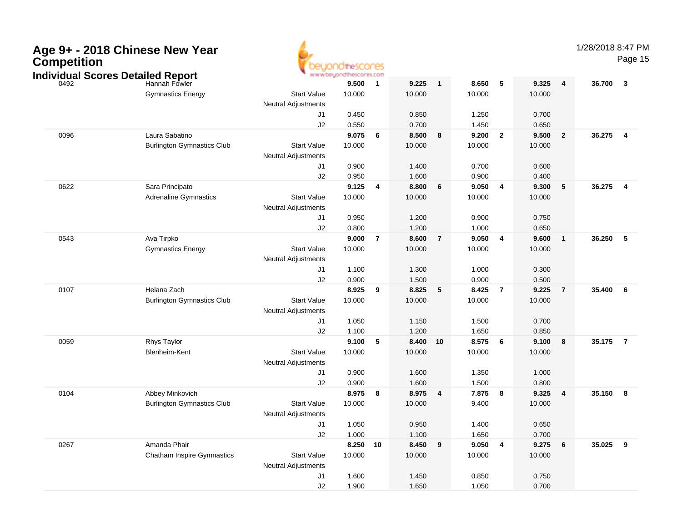| Competition | Age 9+ - 2018 Chinese New Year<br><b>Individual Scores Detailed Report</b> |                            | OtheSCOCES<br>www.beyondthescores.com |                         |        |                         |        |                         |        |                 | 1/28/2018 8:47 PM | Page 15                 |
|-------------|----------------------------------------------------------------------------|----------------------------|---------------------------------------|-------------------------|--------|-------------------------|--------|-------------------------|--------|-----------------|-------------------|-------------------------|
| 0492        | Hannah Fowler                                                              |                            | 9.500                                 | $\overline{\mathbf{1}}$ | 9.225  | $\mathbf{1}$            | 8.650  | -5                      | 9.325  | $\overline{4}$  | 36.700            | $\overline{\mathbf{3}}$ |
|             | <b>Gymnastics Energy</b>                                                   | <b>Start Value</b>         | 10.000                                |                         | 10.000 |                         | 10.000 |                         | 10.000 |                 |                   |                         |
|             |                                                                            | <b>Neutral Adjustments</b> |                                       |                         |        |                         |        |                         |        |                 |                   |                         |
|             |                                                                            | J <sub>1</sub>             | 0.450                                 |                         | 0.850  |                         | 1.250  |                         | 0.700  |                 |                   |                         |
|             |                                                                            | J2                         | 0.550                                 |                         | 0.700  |                         | 1.450  |                         | 0.650  |                 |                   |                         |
| 0096        | Laura Sabatino                                                             |                            | 9.075                                 | $6\overline{6}$         | 8.500  | 8                       | 9.200  | $\overline{\mathbf{2}}$ | 9.500  | $\mathbf{2}$    | 36.275            | $\overline{\mathbf{4}}$ |
|             | <b>Burlington Gymnastics Club</b>                                          | <b>Start Value</b>         | 10.000                                |                         | 10.000 |                         | 10.000 |                         | 10.000 |                 |                   |                         |
|             |                                                                            | <b>Neutral Adjustments</b> |                                       |                         |        |                         |        |                         |        |                 |                   |                         |
|             |                                                                            | J1                         | 0.900                                 |                         | 1.400  |                         | 0.700  |                         | 0.600  |                 |                   |                         |
|             |                                                                            | J2                         | 0.950                                 |                         | 1.600  |                         | 0.900  |                         | 0.400  |                 |                   |                         |
| 0622        | Sara Principato                                                            |                            | 9.125                                 | $\overline{\mathbf{4}}$ | 8.800  | 6                       | 9.050  | $\overline{\mathbf{4}}$ | 9.300  | 5               | 36.275            | - 4                     |
|             | <b>Adrenaline Gymnastics</b>                                               | <b>Start Value</b>         | 10.000                                |                         | 10.000 |                         | 10.000 |                         | 10.000 |                 |                   |                         |
|             |                                                                            | <b>Neutral Adjustments</b> |                                       |                         |        |                         |        |                         |        |                 |                   |                         |
|             |                                                                            | J1                         | 0.950                                 |                         | 1.200  |                         | 0.900  |                         | 0.750  |                 |                   |                         |
|             |                                                                            | J2                         | 0.800                                 |                         | 1.200  |                         | 1.000  |                         | 0.650  |                 |                   |                         |
| 0543        | Ava Tirpko                                                                 |                            | 9.000                                 | $\overline{7}$          | 8.600  | $\overline{7}$          | 9.050  | $\overline{\mathbf{4}}$ | 9.600  | $\mathbf{1}$    | 36.250            | 5                       |
|             | <b>Gymnastics Energy</b>                                                   | <b>Start Value</b>         | 10.000                                |                         | 10.000 |                         | 10.000 |                         | 10.000 |                 |                   |                         |
|             |                                                                            | <b>Neutral Adjustments</b> |                                       |                         |        |                         |        |                         |        |                 |                   |                         |
|             |                                                                            | J1                         | 1.100                                 |                         | 1.300  |                         | 1.000  |                         | 0.300  |                 |                   |                         |
|             |                                                                            | J2                         | 0.900                                 |                         | 1.500  |                         | 0.900  |                         | 0.500  |                 |                   |                         |
| 0107        | Helana Zach                                                                |                            | 8.925                                 | $\overline{\mathbf{9}}$ | 8.825  | 5                       | 8.425  | $\overline{7}$          | 9.225  | $\overline{7}$  | 35.400            | 6                       |
|             | <b>Burlington Gymnastics Club</b>                                          | <b>Start Value</b>         | 10.000                                |                         | 10.000 |                         | 10.000 |                         | 10.000 |                 |                   |                         |
|             |                                                                            | <b>Neutral Adjustments</b> |                                       |                         |        |                         |        |                         |        |                 |                   |                         |
|             |                                                                            | J1                         | 1.050                                 |                         | 1.150  |                         | 1.500  |                         | 0.700  |                 |                   |                         |
|             |                                                                            | J2                         | 1.100                                 |                         | 1.200  |                         | 1.650  |                         | 0.850  |                 |                   |                         |
| 0059        | <b>Rhys Taylor</b>                                                         |                            | 9.100                                 | $-5$                    | 8.400  | 10                      | 8.575  | - 6                     | 9.100  | 8               | 35.175            | $\overline{7}$          |
|             | Blenheim-Kent                                                              | <b>Start Value</b>         | 10.000                                |                         | 10.000 |                         | 10.000 |                         | 10.000 |                 |                   |                         |
|             |                                                                            | <b>Neutral Adjustments</b> |                                       |                         |        |                         |        |                         |        |                 |                   |                         |
|             |                                                                            | J1                         | 0.900                                 |                         | 1.600  |                         | 1.350  |                         | 1.000  |                 |                   |                         |
|             |                                                                            | J2                         | 0.900                                 |                         | 1.600  |                         | 1.500  |                         | 0.800  |                 |                   |                         |
| 0104        | Abbey Minkovich                                                            |                            | 8.975                                 | $\overline{\mathbf{8}}$ | 8.975  | $\overline{\mathbf{4}}$ | 7.875  | 8                       | 9.325  | 4               | 35.150            | $\overline{\mathbf{8}}$ |
|             | <b>Burlington Gymnastics Club</b>                                          | <b>Start Value</b>         | 10.000                                |                         | 10.000 |                         | 9.400  |                         | 10.000 |                 |                   |                         |
|             |                                                                            | <b>Neutral Adjustments</b> |                                       |                         |        |                         |        |                         |        |                 |                   |                         |
|             |                                                                            | J1                         | 1.050                                 |                         | 0.950  |                         | 1.400  |                         | 0.650  |                 |                   |                         |
|             |                                                                            | J2                         | 1.000                                 |                         | 1.100  |                         | 1.650  |                         | 0.700  |                 |                   |                         |
| 0267        | Amanda Phair                                                               |                            | 8.250 10                              |                         | 8.450  | $\overline{\mathbf{9}}$ | 9.050  | $\overline{\mathbf{4}}$ | 9.275  | $6\phantom{.}6$ | 35.025 9          |                         |
|             | <b>Chatham Inspire Gymnastics</b>                                          | <b>Start Value</b>         | 10.000                                |                         | 10.000 |                         | 10.000 |                         | 10.000 |                 |                   |                         |
|             |                                                                            | <b>Neutral Adjustments</b> |                                       |                         |        |                         |        |                         |        |                 |                   |                         |
|             |                                                                            | J1                         | 1.600                                 |                         | 1.450  |                         | 0.850  |                         | 0.750  |                 |                   |                         |
|             |                                                                            | J2                         | 1.900                                 |                         | 1.650  |                         | 1.050  |                         | 0.700  |                 |                   |                         |